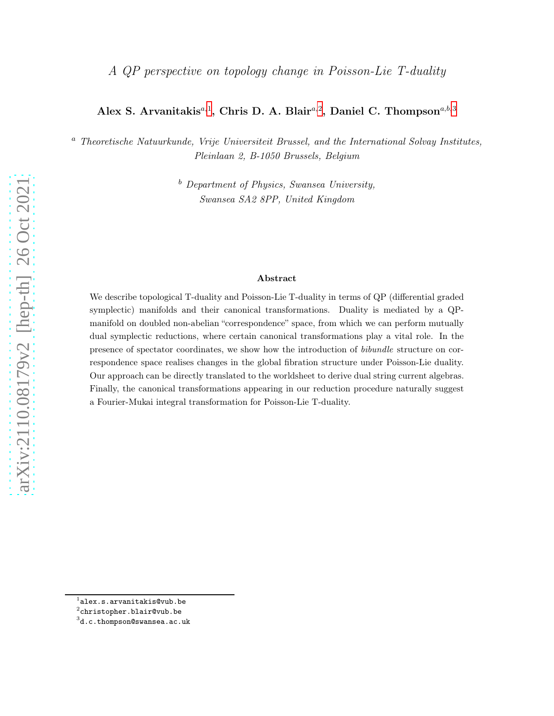# Alex S. Arvanitakis<sup>a,[1](#page-0-0)</sup>, Chris D. A. Blair<sup>a,[2](#page-0-1)</sup>, Daniel C. Thompson<sup>a,b,[3](#page-0-2)</sup>

<sup>a</sup> Theoretische Natuurkunde, Vrije Universiteit Brussel, and the International Solvay Institutes, Pleinlaan 2, B-1050 Brussels, Belgium

> $b$  Department of Physics, Swansea University, Swansea SA2 8PP, United Kingdom

#### Abstract

We describe topological T-duality and Poisson-Lie T-duality in terms of QP (differential graded symplectic) manifolds and their canonical transformations. Duality is mediated by a QPmanifold on doubled non-abelian "correspondence" space, from which we can perform mutually dual symplectic reductions, where certain canonical transformations play a vital role. In the presence of spectator coordinates, we show how the introduction of bibundle structure on correspondence space realises changes in the global fibration structure under Poisson-Lie duality. Our approach can be directly translated to the worldsheet to derive dual string current algebras. Finally, the canonical transformations appearing in our reduction procedure naturally suggest a Fourier-Mukai integral transformation for Poisson-Lie T-duality.

 $^{\rm 1}$ alex.s.arvanitakis@vub.be

<span id="page-0-0"></span> $^2$ christopher.blair@vub.be

<span id="page-0-2"></span><span id="page-0-1"></span><sup>3</sup> d.c.thompson@swansea.ac.uk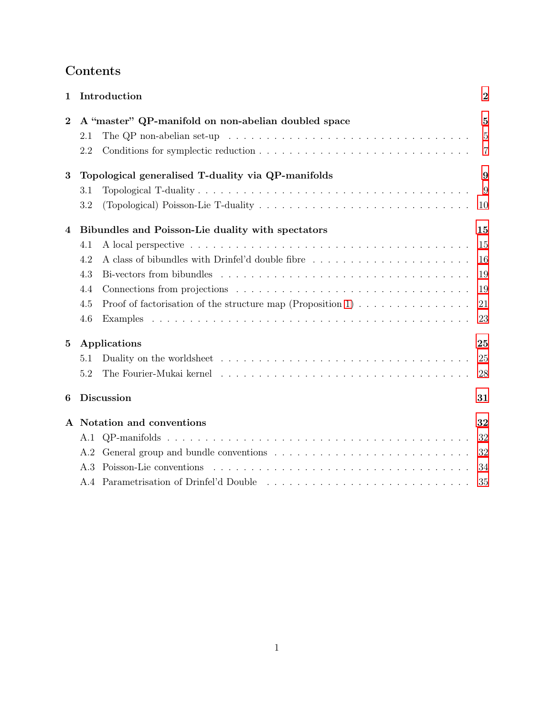# Contents

| 1                      |                                                         | Introduction                                                                                                    | $\overline{2}$ |  |  |
|------------------------|---------------------------------------------------------|-----------------------------------------------------------------------------------------------------------------|----------------|--|--|
| $\bf{2}$               |                                                         | A "master" QP-manifold on non-abelian doubled space                                                             |                |  |  |
|                        | 2.1                                                     | The QP non-abelian set-up $\dots \dots \dots \dots \dots \dots \dots \dots \dots \dots \dots \dots \dots \dots$ | $\overline{5}$ |  |  |
|                        | 2.2                                                     |                                                                                                                 | $\overline{7}$ |  |  |
| 3                      |                                                         | Topological generalised T-duality via QP-manifolds                                                              |                |  |  |
|                        | 3.1                                                     |                                                                                                                 | 9              |  |  |
|                        | 3.2                                                     |                                                                                                                 | 10             |  |  |
| 4                      | Bibundles and Poisson-Lie duality with spectators<br>15 |                                                                                                                 |                |  |  |
|                        | 4.1                                                     |                                                                                                                 | 15             |  |  |
|                        | 4.2                                                     |                                                                                                                 | 16             |  |  |
|                        | 4.3                                                     |                                                                                                                 | 19             |  |  |
|                        | 4.4                                                     |                                                                                                                 | 19             |  |  |
|                        | 4.5                                                     | Proof of factorisation of the structure map (Proposition 1) $\ldots \ldots \ldots \ldots \ldots$                | 21             |  |  |
|                        | 4.6                                                     |                                                                                                                 | 23             |  |  |
| $\bf{5}$               |                                                         | Applications<br>25                                                                                              |                |  |  |
|                        | 5.1                                                     |                                                                                                                 | 25             |  |  |
|                        | 5.2                                                     |                                                                                                                 | 28             |  |  |
| <b>Discussion</b><br>6 |                                                         |                                                                                                                 | 31             |  |  |
|                        |                                                         | A Notation and conventions                                                                                      | 32             |  |  |
|                        |                                                         |                                                                                                                 | 32             |  |  |
|                        | A.2                                                     |                                                                                                                 | 32             |  |  |
|                        | A.3                                                     |                                                                                                                 | 34             |  |  |
|                        |                                                         |                                                                                                                 | 35             |  |  |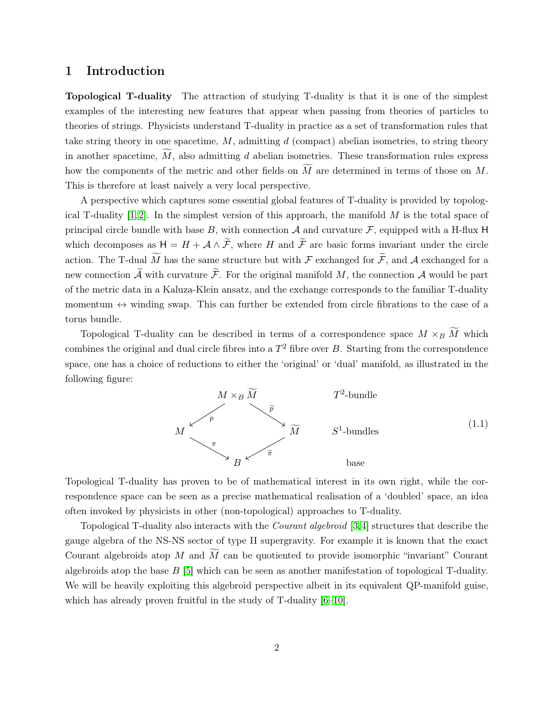### <span id="page-2-0"></span>1 Introduction

Topological T-duality The attraction of studying T-duality is that it is one of the simplest examples of the interesting new features that appear when passing from theories of particles to theories of strings. Physicists understand T-duality in practice as a set of transformation rules that take string theory in one spacetime,  $M$ , admitting  $d$  (compact) abelian isometries, to string theory in another spacetime,  $\tilde{M}$ , also admitting d abelian isometries. These transformation rules express how the components of the metric and other fields on  $\tilde{M}$  are determined in terms of those on  $M$ . This is therefore at least naively a very local perspective.

A perspective which captures some essential global features of T-duality is provided by topological T-duality  $[1, 2]$  $[1, 2]$ . In the simplest version of this approach, the manifold M is the total space of principal circle bundle with base B, with connection  $A$  and curvature  $F$ , equipped with a H-flux H which decomposes as  $H = H + \mathcal{A} \wedge \widetilde{\mathcal{F}}$ , where H and  $\widetilde{\mathcal{F}}$  are basic forms invariant under the circle action. The T-dual  $\widetilde{M}$  has the same structure but with F exchanged for  $\widetilde{\mathcal{F}}$ , and A exchanged for a new connection  $\widetilde{\mathcal{A}}$  with curvature  $\widetilde{\mathcal{F}}$ . For the original manifold M, the connection  $\mathcal{A}$  would be part of the metric data in a Kaluza-Klein ansatz, and the exchange corresponds to the familiar T-duality momentum  $\leftrightarrow$  winding swap. This can further be extended from circle fibrations to the case of a torus bundle.

Topological T-duality can be described in terms of a correspondence space  $M \times_B \widetilde{M}$  which combines the original and dual circle fibres into a  $T^2$  fibre over B. Starting from the correspondence space, one has a choice of reductions to either the 'original' or 'dual' manifold, as illustrated in the following figure:

<span id="page-2-1"></span>

Topological T-duality has proven to be of mathematical interest in its own right, while the correspondence space can be seen as a precise mathematical realisation of a 'doubled' space, an idea often invoked by physicists in other (non-topological) approaches to T-duality.

Topological T-duality also interacts with the Courant algebroid [\[3,](#page-37-2)[4\]](#page-37-3) structures that describe the gauge algebra of the NS-NS sector of type II supergravity. For example it is known that the exact Courant algebroids atop M and  $\widetilde{M}$  can be quotiented to provide isomorphic "invariant" Courant algebroids atop the base  $B$  [\[5\]](#page-37-4) which can be seen as another manifestation of topological T-duality. We will be heavily exploiting this algebroid perspective albeit in its equivalent QP-manifold guise, which has already proven fruitful in the study of T-duality [\[6](#page-37-5)[–10\]](#page-37-6).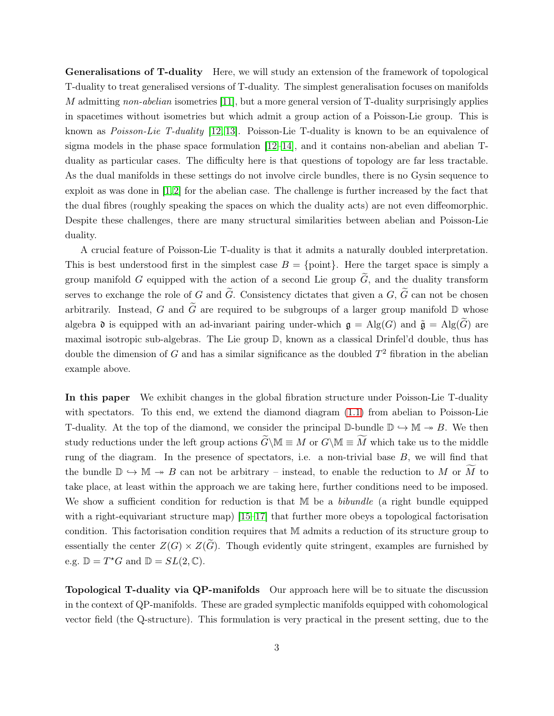Generalisations of T-duality Here, we will study an extension of the framework of topological T-duality to treat generalised versions of T-duality. The simplest generalisation focuses on manifolds M admitting non-abelian isometries [\[11\]](#page-37-7), but a more general version of T-duality surprisingly applies in spacetimes without isometries but which admit a group action of a Poisson-Lie group. This is known as Poisson-Lie T-duality [\[12,](#page-37-8) [13\]](#page-38-0). Poisson-Lie T-duality is known to be an equivalence of sigma models in the phase space formulation  $[12-14]$  $[12-14]$ , and it contains non-abelian and abelian Tduality as particular cases. The difficulty here is that questions of topology are far less tractable. As the dual manifolds in these settings do not involve circle bundles, there is no Gysin sequence to exploit as was done in  $[1,2]$  $[1,2]$  for the abelian case. The challenge is further increased by the fact that the dual fibres (roughly speaking the spaces on which the duality acts) are not even diffeomorphic. Despite these challenges, there are many structural similarities between abelian and Poisson-Lie duality.

A crucial feature of Poisson-Lie T-duality is that it admits a naturally doubled interpretation. This is best understood first in the simplest case  $B = \{\text{point}\}\.$  Here the target space is simply a group manifold G equipped with the action of a second Lie group  $\tilde{G}$ , and the duality transform serves to exchange the role of G and  $\tilde{G}$ . Consistency dictates that given a G,  $\tilde{G}$  can not be chosen arbitrarily. Instead, G and  $\tilde{G}$  are required to be subgroups of a larger group manifold  $\mathbb D$  whose algebra  $\mathfrak d$  is equipped with an ad-invariant pairing under-which  $\mathfrak g = \mathrm{Alg}(G)$  and  $\tilde{\mathfrak g} = \mathrm{Alg}(\tilde{G})$  are maximal isotropic sub-algebras. The Lie group D, known as a classical Drinfel'd double, thus has double the dimension of G and has a similar significance as the doubled  $T^2$  fibration in the abelian example above.

In this paper We exhibit changes in the global fibration structure under Poisson-Lie T-duality with spectators. To this end, we extend the diamond diagram  $(1.1)$  from abelian to Poisson-Lie T-duality. At the top of the diamond, we consider the principal  $\mathbb{D}$ -bundle  $\mathbb{D} \hookrightarrow \mathbb{M} \twoheadrightarrow B$ . We then study reductions under the left group actions  $\widetilde{G}\backslash\mathbb{M} \equiv M$  or  $G\backslash\mathbb{M} \equiv \widetilde{M}$  which take us to the middle rung of the diagram. In the presence of spectators, i.e. a non-trivial base  $B$ , we will find that the bundle  $\mathbb{D} \hookrightarrow \mathbb{M} \twoheadrightarrow B$  can not be arbitrary – instead, to enable the reduction to M or  $\widetilde{M}$  to take place, at least within the approach we are taking here, further conditions need to be imposed. We show a sufficient condition for reduction is that  $M$  be a *bibundle* (a right bundle equipped with a right-equivariant structure map)  $[15-17]$  that further more obeys a topological factorisation condition. This factorisation condition requires that M admits a reduction of its structure group to essentially the center  $Z(G) \times Z(G)$ . Though evidently quite stringent, examples are furnished by e.g.  $\mathbb{D} = T^*G$  and  $\mathbb{D} = SL(2, \mathbb{C})$ .

Topological T-duality via QP-manifolds Our approach here will be to situate the discussion in the context of QP-manifolds. These are graded symplectic manifolds equipped with cohomological vector field (the Q-structure). This formulation is very practical in the present setting, due to the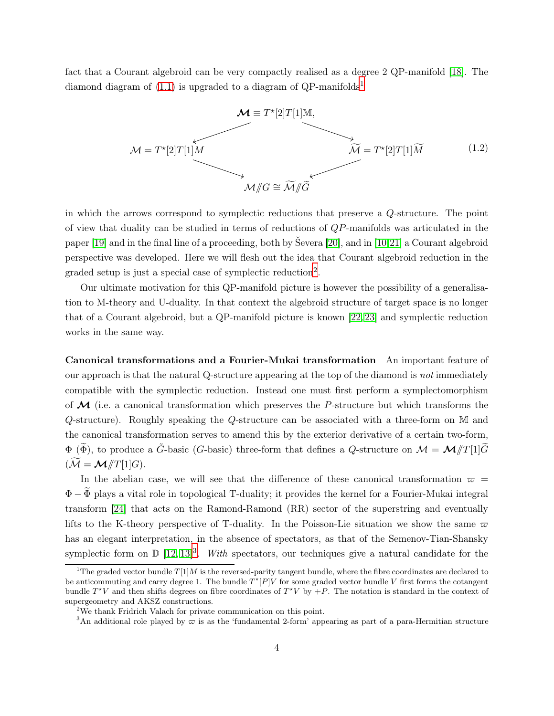fact that a Courant algebroid can be very compactly realised as a degree 2 QP-manifold [\[18\]](#page-38-4). The diamond diagram of  $(1.1)$  $(1.1)$  $(1.1)$  is upgraded to a diagram of QP-manifolds<sup>1</sup>



in which the arrows correspond to symplectic reductions that preserve a Q-structure. The point of view that duality can be studied in terms of reductions of QP-manifolds was articulated in the paper [\[19\]](#page-38-5) and in the final line of a proceeding, both by Ševera [\[20\]](#page-38-6), and in [\[10,](#page-37-6)[21\]](#page-38-7) a Courant algebroid perspective was developed. Here we will flesh out the idea that Courant algebroid reduction in the graded setup is just a special case of symplectic reduction<sup>[2](#page-4-1)</sup>.

Our ultimate motivation for this QP-manifold picture is however the possibility of a generalisation to M-theory and U-duality. In that context the algebroid structure of target space is no longer that of a Courant algebroid, but a QP-manifold picture is known [\[22,](#page-38-8) [23\]](#page-38-9) and symplectic reduction works in the same way.

Canonical transformations and a Fourier-Mukai transformation An important feature of our approach is that the natural Q-structure appearing at the top of the diamond is not immediately compatible with the symplectic reduction. Instead one must first perform a symplectomorphism of  $\mathcal M$  (i.e. a canonical transformation which preserves the P-structure but which transforms the Q-structure). Roughly speaking the Q-structure can be associated with a three-form on M and the canonical transformation serves to amend this by the exterior derivative of a certain two-form,  $\Phi$  ( $\widetilde{\Phi}$ ), to produce a  $\widetilde{G}$ -basic (G-basic) three-form that defines a Q-structure on  $\mathcal{M} = \mathcal{M}/T[1]\widetilde{G}$  $(\widetilde{\mathcal{M}} = \mathcal{M}/T[1]G).$ 

In the abelian case, we will see that the difference of these canonical transformation  $\varpi$  =  $\Phi - \widetilde{\Phi}$  plays a vital role in topological T-duality; it provides the kernel for a Fourier-Mukai integral transform [\[24\]](#page-38-10) that acts on the Ramond-Ramond (RR) sector of the superstring and eventually lifts to the K-theory perspective of T-duality. In the Poisson-Lie situation we show the same  $\varpi$ has an elegant interpretation, in the absence of spectators, as that of the Semenov-Tian-Shansky symplectic form on  $\mathbb{D} [12, 13]^3$  $\mathbb{D} [12, 13]^3$  $\mathbb{D} [12, 13]^3$  $\mathbb{D} [12, 13]^3$  $\mathbb{D} [12, 13]^3$ . With spectators, our techniques give a natural candidate for the

<span id="page-4-0"></span><sup>&</sup>lt;sup>1</sup>The graded vector bundle  $T[1]M$  is the reversed-parity tangent bundle, where the fibre coordinates are declared to be anticommuting and carry degree 1. The bundle  $T^*[P]V$  for some graded vector bundle V first forms the cotangent bundle  $T^*V$  and then shifts degrees on fibre coordinates of  $T^*V$  by  $+P$ . The notation is standard in the context of supergeometry and AKSZ constructions.

<sup>2</sup>We thank Fridrich Valach for private communication on this point.

<span id="page-4-2"></span><span id="page-4-1"></span><sup>&</sup>lt;sup>3</sup>An additional role played by  $\varpi$  is as the 'fundamental 2-form' appearing as part of a para-Hermitian structure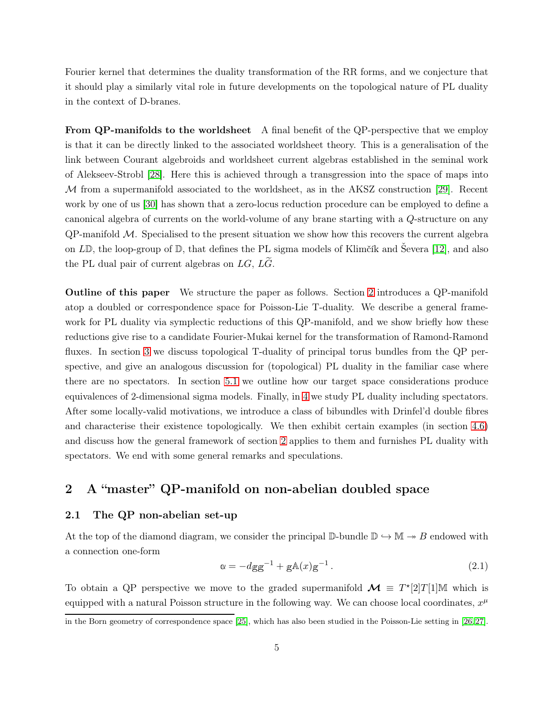Fourier kernel that determines the duality transformation of the RR forms, and we conjecture that it should play a similarly vital role in future developments on the topological nature of PL duality in the context of D-branes.

From QP-manifolds to the worldsheet A final benefit of the QP-perspective that we employ is that it can be directly linked to the associated worldsheet theory. This is a generalisation of the link between Courant algebroids and worldsheet current algebras established in the seminal work of Alekseev-Strobl [\[28\]](#page-39-0). Here this is achieved through a transgression into the space of maps into M from a supermanifold associated to the worldsheet, as in the AKSZ construction [\[29\]](#page-39-1). Recent work by one of us [\[30\]](#page-39-2) has shown that a zero-locus reduction procedure can be employed to define a canonical algebra of currents on the world-volume of any brane starting with a Q-structure on any  $QP$ -manifold  $M$ . Specialised to the present situation we show how this recovers the current algebra on LD, the loop-group of D, that defines the PL sigma models of Klimčík and Ševera [\[12\]](#page-37-8), and also the PL dual pair of current algebras on  $LG$ ,  $L\tilde{G}$ .

Outline of this paper We structure the paper as follows. Section [2](#page-5-0) introduces a QP-manifold atop a doubled or correspondence space for Poisson-Lie T-duality. We describe a general framework for PL duality via symplectic reductions of this QP-manifold, and we show briefly how these reductions give rise to a candidate Fourier-Mukai kernel for the transformation of Ramond-Ramond fluxes. In section [3](#page-9-0) we discuss topological T-duality of principal torus bundles from the QP perspective, and give an analogous discussion for (topological) PL duality in the familiar case where there are no spectators. In section [5.1](#page-25-1) we outline how our target space considerations produce equivalences of 2-dimensional sigma models. Finally, in [4](#page-15-0) we study PL duality including spectators. After some locally-valid motivations, we introduce a class of bibundles with Drinfel'd double fibres and characterise their existence topologically. We then exhibit certain examples (in section [4.6\)](#page-23-0) and discuss how the general framework of section [2](#page-5-0) applies to them and furnishes PL duality with spectators. We end with some general remarks and speculations.

# <span id="page-5-1"></span><span id="page-5-0"></span>2 A "master" QP-manifold on non-abelian doubled space

#### 2.1 The QP non-abelian set-up

At the top of the diamond diagram, we consider the principal  $\mathbb{D}$ -bundle  $\mathbb{D} \hookrightarrow \mathbb{M} \twoheadrightarrow B$  endowed with a connection one-form

$$
\alpha = -dgg^{-1} + gA(x)g^{-1}.
$$
 (2.1)

To obtain a QP perspective we move to the graded supermanifold  $\mathcal{M} \equiv T^*[2]T[1]\mathbb{M}$  which is equipped with a natural Poisson structure in the following way. We can choose local coordinates,  $x^{\mu}$ 

in the Born geometry of correspondence space [\[25\]](#page-38-11), which has also been studied in the Poisson-Lie setting in [\[26,](#page-38-12) [27\]](#page-38-13).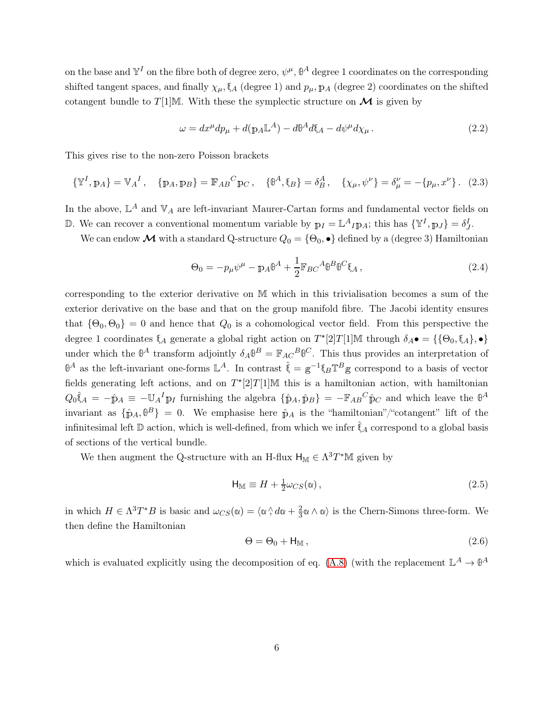on the base and  $\mathbb{Y}^I$  on the fibre both of degree zero,  $\psi^{\mu}$ ,  $\mathbb{\theta}^A$  degree 1 coordinates on the corresponding shifted tangent spaces, and finally  $\chi_{\mu}$ ,  $\chi_{A}$  (degree 1) and  $p_{\mu}$ ,  $p_{A}$  (degree 2) coordinates on the shifted cotangent bundle to T[1]M. With these the symplectic structure on  $\mathcal M$  is given by

<span id="page-6-1"></span>
$$
\omega = dx^{\mu}dp_{\mu} + d(p_{A}\mathbb{L}^{A}) - d\theta^{A}d\xi_{A} - d\psi^{\mu}d\chi_{\mu}.
$$
\n(2.2)

This gives rise to the non-zero Poisson brackets

<span id="page-6-3"></span>
$$
\{\mathbb{Y}^{I}, \mathbb{p}_{A}\} = \mathbb{V}_{A}{}^{I}, \quad \{\mathbb{p}_{A}, \mathbb{p}_{B}\} = \mathbb{F}_{AB}{}^{C} \mathbb{p}_{C}, \quad \{\mathbb{P}^{A}, \mathbb{q}_{B}\} = \delta^{A}_{B}, \quad \{\chi_{\mu}, \psi^{\nu}\} = \delta^{\nu}_{\mu} = -\{p_{\mu}, x^{\nu}\}.
$$
 (2.3)

In the above,  $\mathbb{L}^A$  and  $\mathbb{V}_A$  are left-invariant Maurer-Cartan forms and fundamental vector fields on D. We can recover a conventional momentum variable by  $p_I = \mathbb{L}^A I p_A$ ; this has  $\{\mathbb{Y}^I, p_J\} = \delta^I_J$ .

We can endow  $\mathcal M$  with a standard Q-structure  $Q_0 = \{\Theta_0, \bullet\}$  defined by a (degree 3) Hamiltonian

<span id="page-6-2"></span>
$$
\Theta_0 = -p_\mu \psi^\mu - p_A \Phi^A + \frac{1}{2} \mathbb{F}_{BC}{}^A \Phi^B \Phi^C \mathfrak{F}_A \,, \tag{2.4}
$$

corresponding to the exterior derivative on M which in this trivialisation becomes a sum of the exterior derivative on the base and that on the group manifold fibre. The Jacobi identity ensures that  $\{\Theta_0, \Theta_0\} = 0$  and hence that  $Q_0$  is a cohomological vector field. From this perspective the degree 1 coordinates  $\xi_A$  generate a global right action on  $T^*[2]T[1]\mathbb{M}$  through  $\delta_A \bullet = {\{\{\Theta_0, \xi_A\}, \bullet\}}$ under which the  $\mathbb{B}^A$  transform adjointly  $\delta_A \mathbb{B}^B = \mathbb{F}_{AC}^B \mathbb{B}^C$ . This thus provides an interpretation of  $\mathbb{B}^A$  as the left-invariant one-forms  $\mathbb{L}^A$ . In contrast  $\hat{\xi} = g^{-1} \xi_B \mathbb{T}^B g$  correspond to a basis of vector fields generating left actions, and on  $T^*[2]T[1]\mathbb{M}$  this is a hamiltonian action, with hamiltonian  $Q_0 \hat{\xi}_A = -\hat{\mathbb{p}}_A \equiv -\mathbb{U}_A^I \mathbb{p}_I$  furnishing the algebra  $\{\hat{\mathbb{p}}_A, \hat{\mathbb{p}}_B\} = -\mathbb{F}_{AB}{}^C \hat{\mathbb{p}}_C$  and which leave the  $\mathbb{P}^A$ invariant as  $\{\hat{\mathbf{p}}_A, \hat{\mathbf{\theta}}^B\} = 0$ . We emphasise here  $\hat{\mathbf{p}}_A$  is the "hamiltonian"/"cotangent" lift of the infinitesimal left  $\mathbb D$  action, which is well-defined, from which we infer  $\tilde{\xi}_A$  correspond to a global basis of sections of the vertical bundle.

We then augment the Q-structure with an H-flux  $H_M \in \Lambda^3 T^*M$  given by

$$
\mathsf{H}_{\mathbb{M}} \equiv H + \frac{1}{2}\omega_{CS}(\mathsf{a}),\tag{2.5}
$$

in which  $H \in \Lambda^3 T^*B$  is basic and  $\omega_{CS}(\omega) = \langle \omega \rangle \langle d\omega + \frac{2}{3}$  $\frac{2}{3}\alpha \wedge \alpha$  is the Chern-Simons three-form. We then define the Hamiltonian

<span id="page-6-0"></span>
$$
\Theta = \Theta_0 + \mathsf{H}_{\mathbb{M}},\tag{2.6}
$$

which is evaluated explicitly using the decomposition of eq. [\(A.8\)](#page-34-1) (with the replacement  $\mathbb{L}^A \to \mathbb{P}^A$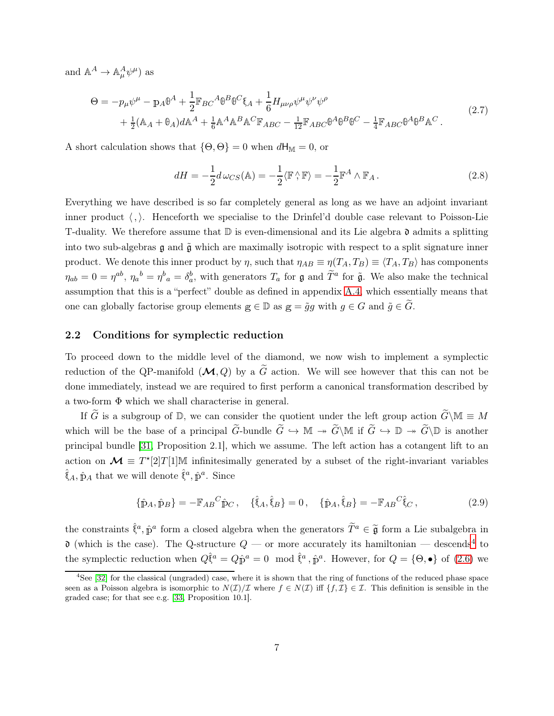and  $\mathbb{A}^A \to \mathbb{A}^A_\mu \psi^\mu$  as

<span id="page-7-2"></span>
$$
\Theta = -p_{\mu}\psi^{\mu} - p_{A}\theta^{A} + \frac{1}{2}\mathbb{F}_{BC}{}^{A}\theta^{B}\theta^{C}\xi_{A} + \frac{1}{6}H_{\mu\nu\rho}\psi^{\mu}\psi^{\nu}\psi^{\rho}
$$
  
+  $\frac{1}{2}(\mathbb{A}_{A} + \mathbb{B}_{A})d\mathbb{A}^{A} + \frac{1}{6}\mathbb{A}^{A}\mathbb{A}^{B}\mathbb{A}^{C}\mathbb{F}_{ABC} - \frac{1}{12}\mathbb{F}_{ABC}\theta^{A}\theta^{B}\theta^{C} - \frac{1}{4}\mathbb{F}_{ABC}\theta^{A}\theta^{B}\mathbb{A}^{C}.$  (2.7)

A short calculation shows that  $\{\Theta, \Theta\} = 0$  when  $dH_M = 0$ , or

$$
dH = -\frac{1}{2}d\,\omega_{CS}(\mathbb{A}) = -\frac{1}{2}\langle \mathbb{F}\,\rangle \,\mathbb{F}\rangle = -\frac{1}{2}\mathbb{F}^A \wedge \mathbb{F}_A \,. \tag{2.8}
$$

Everything we have described is so far completely general as long as we have an adjoint invariant inner product  $\langle , \rangle$ . Henceforth we specialise to the Drinfel'd double case relevant to Poisson-Lie T-duality. We therefore assume that  $\mathbb D$  is even-dimensional and its Lie algebra  $\mathfrak d$  admits a splitting into two sub-algebras  $\mathfrak g$  and  $\tilde{\mathfrak g}$  which are maximally isotropic with respect to a split signature inner product. We denote this inner product by  $\eta$ , such that  $\eta_{AB} \equiv \eta(T_A, T_B) \equiv \langle T_A, T_B \rangle$  has components  $\eta_{ab} = 0 = \eta^{ab}, \eta_a^b = \eta^b{}_a = \delta_a^b$ , with generators  $T_a$  for  $\mathfrak g$  and  $\widetilde{T}^a$  for  $\widetilde{\mathfrak g}$ . We also make the technical assumption that this is a "perfect" double as defined in appendix [A.4,](#page-35-0) which essentially means that one can globally factorise group elements  $g \in \mathbb{D}$  as  $g = \tilde{g}g$  with  $g \in G$  and  $\tilde{g} \in \tilde{G}$ .

#### <span id="page-7-0"></span>2.2 Conditions for symplectic reduction

To proceed down to the middle level of the diamond, we now wish to implement a symplectic reduction of the QP-manifold  $(M, Q)$  by a  $\tilde{G}$  action. We will see however that this can not be done immediately, instead we are required to first perform a canonical transformation described by a two-form Φ which we shall characterise in general.

If  $\tilde{G}$  is a subgroup of D, we can consider the quotient under the left group action  $\tilde{G}\backslash\mathbb{M}\equiv M$ which will be the base of a principal  $\widetilde{G} \to \mathbb{M} \to \widetilde{G} \backslash \mathbb{M}$  if  $\widetilde{G} \to \mathbb{D} \to \widetilde{G} \backslash \mathbb{D}$  is another principal bundle [\[31,](#page-39-3) Proposition 2.1], which we assume. The left action has a cotangent lift to an action on  $\mathcal{M} \equiv T^*[2]T[1]\mathbb{M}$  infinitesimally generated by a subset of the right-invariant variables  $\hat{\mathbf{\mathfrak{f}}}_{A}, \hat{\mathbf{p}}_{A}$  that we will denote  $\hat{\mathbf{\mathfrak{f}}}_{a}, \hat{\mathbf{p}}_{a}$ . Since

<span id="page-7-3"></span>
$$
\{\hat{\mathbf{p}}_A, \hat{\mathbf{p}}_B\} = -\mathbb{F}_{AB}{}^C \hat{\mathbf{p}}_C \,, \quad \{\hat{\mathbf{\xi}}_A, \hat{\mathbf{\xi}}_B\} = 0 \,, \quad \{\hat{\mathbf{p}}_A, \hat{\mathbf{\xi}}_B\} = -\mathbb{F}_{AB}{}^C \hat{\mathbf{\xi}}_C \,, \tag{2.9}
$$

the constraints  $\hat{\xi}^a$ ,  $\hat{p}^a$  form a closed algebra when the generators  $\tilde{T}^a \in \tilde{\mathfrak{g}}$  form a Lie subalgebra in  $\mathfrak d$  (which is the case). The Q-structure  $Q$  — or more accurately its hamiltonian — descends<sup>[4](#page-7-1)</sup> to the symplectic reduction when  $Q\hat{\xi}^a = Q\hat{p}^a = 0 \mod \hat{\xi}^a$ ,  $\hat{p}^a$ . However, for  $Q = \{\Theta, \bullet\}$  of [\(2.6\)](#page-6-0) we

<span id="page-7-1"></span><sup>&</sup>lt;sup>4</sup>See [\[32\]](#page-39-4) for the classical (ungraded) case, where it is shown that the ring of functions of the reduced phase space seen as a Poisson algebra is isomorphic to  $N(\mathcal{I})/\mathcal{I}$  where  $f \in N(\mathcal{I})$  iff  $\{f, \mathcal{I}\}\in \mathcal{I}$ . This definition is sensible in the graded case; for that see e.g. [\[33,](#page-39-5) Proposition 10.1].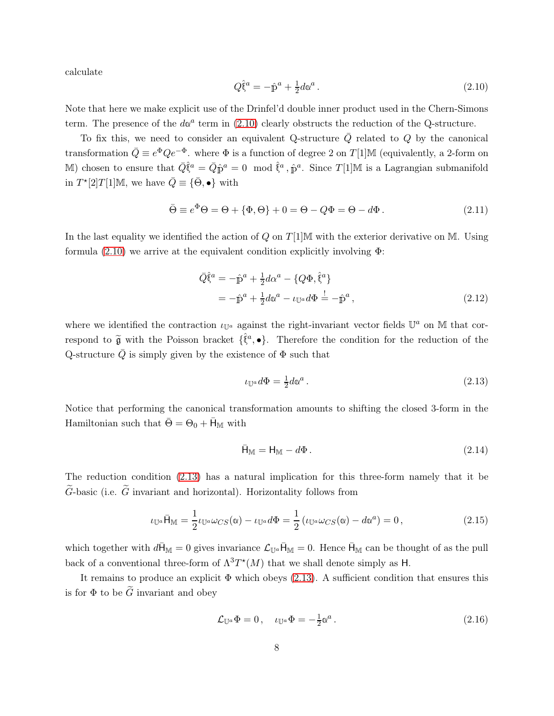calculate

<span id="page-8-0"></span>
$$
Q\hat{\xi}^a = -\hat{p}^a + \frac{1}{2}d\alpha^a. \qquad (2.10)
$$

Note that here we make explicit use of the Drinfel'd double inner product used in the Chern-Simons term. The presence of the  $d\alpha^a$  term in [\(2.10\)](#page-8-0) clearly obstructs the reduction of the Q-structure.

To fix this, we need to consider an equivalent Q-structure  $\overline{Q}$  related to Q by the canonical transformation  $\bar{Q} \equiv e^{\Phi} Q e^{-\Phi}$ . where  $\Phi$  is a function of degree 2 on T[1]M (equivalently, a 2-form on M) chosen to ensure that  $\bar{Q}\hat{\xi}^a = \bar{Q}\hat{p}^a = 0 \mod \hat{\xi}^a$ ,  $\hat{p}^a$ . Since T[1]M is a Lagrangian submanifold in  $T^*[2]T[1]\mathbb{M}$ , we have  $\overline{Q} \equiv {\overline{\Theta}}, \bullet$  with

$$
\bar{\Theta} \equiv e^{\Phi}\Theta = \Theta + \{\Phi, \Theta\} + 0 = \Theta - Q\Phi = \Theta - d\Phi. \tag{2.11}
$$

In the last equality we identified the action of  $Q$  on  $T[1]\mathbb{M}$  with the exterior derivative on M. Using formula [\(2.10\)](#page-8-0) we arrive at the equivalent condition explicitly involving Φ:

$$
\begin{split} \bar{Q}\hat{\xi}^{a} &= -\hat{p}^{a} + \frac{1}{2}d\alpha^{a} - \{Q\Phi, \hat{\xi}^{a}\} \\ &= -\hat{p}^{a} + \frac{1}{2}d\alpha^{a} - \iota_{\mathbb{U}^{a}}d\Phi \stackrel{!}{=} -\hat{p}^{a} \,, \end{split} \tag{2.12}
$$

where we identified the contraction  $\iota_{\mathbb{U}^a}$  against the right-invariant vector fields  $\mathbb{U}^a$  on M that correspond to  $\tilde{\mathfrak{g}}$  with the Poisson bracket  $\{\hat{\mathfrak{f}}^a, \bullet\}$ . Therefore the condition for the reduction of the Q-structure  $\overline{Q}$  is simply given by the existence of  $\Phi$  such that

<span id="page-8-1"></span>
$$
\iota_{\mathbb{U}^a}d\Phi = \frac{1}{2}d\omega^a. \tag{2.13}
$$

Notice that performing the canonical transformation amounts to shifting the closed 3-form in the Hamiltonian such that  $\bar{\Theta} = \Theta_0 + \bar{H}_{\mathbb{M}}$  with

$$
\bar{\mathsf{H}}_{\mathbb{M}} = \mathsf{H}_{\mathbb{M}} - d\Phi. \tag{2.14}
$$

The reduction condition [\(2.13\)](#page-8-1) has a natural implication for this three-form namely that it be  $\widetilde{G}$ -basic (i.e.  $\widetilde{G}$  invariant and horizontal). Horizontality follows from

$$
\iota_{\mathbb{U}^a} \bar{\mathsf{H}}_{\mathbb{M}} = \frac{1}{2} \iota_{\mathbb{U}^a} \omega_{CS}(\mathbb{Q}) - \iota_{\mathbb{U}^a} d\Phi = \frac{1}{2} \left( \iota_{\mathbb{U}^a} \omega_{CS}(\mathbb{Q}) - d\mathbb{Q}^a \right) = 0, \tag{2.15}
$$

which together with  $d\bar{H}_{\text{M}} = 0$  gives invariance  $\mathcal{L}_{\mathbb{U}^a}\bar{H}_{\text{M}} = 0$ . Hence  $\bar{H}_{\text{M}}$  can be thought of as the pull back of a conventional three-form of  $\Lambda^3 T^*(M)$  that we shall denote simply as H.

It remains to produce an explicit  $\Phi$  which obeys [\(2.13\)](#page-8-1). A sufficient condition that ensures this is for  $\Phi$  to be  $\widetilde{G}$  invariant and obey

<span id="page-8-2"></span>
$$
\mathcal{L}_{\mathbb{U}^a} \Phi = 0, \quad \iota_{\mathbb{U}^a} \Phi = -\frac{1}{2} \mathfrak{A}^a \,. \tag{2.16}
$$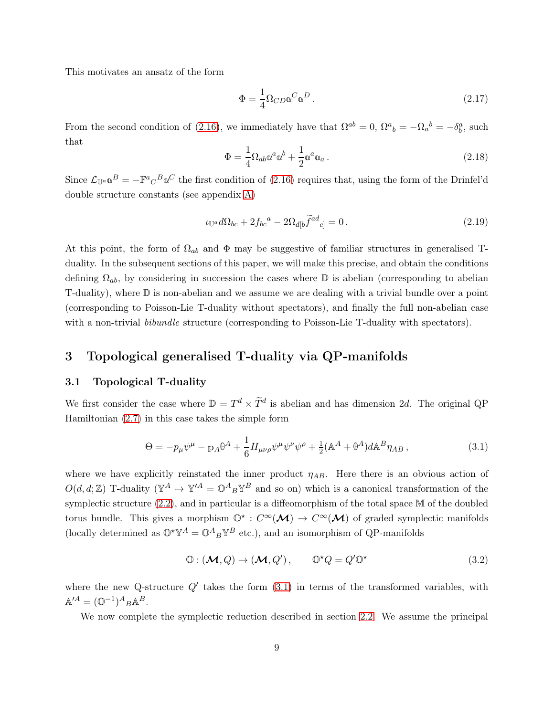This motivates an ansatz of the form

<span id="page-9-4"></span>
$$
\Phi = \frac{1}{4} \Omega_{CD} \omega^C \omega^D.
$$
\n(2.17)

From the second condition of [\(2.16\)](#page-8-2), we immediately have that  $\Omega^{ab} = 0$ ,  $\Omega^{a}{}_{b} = -\Omega_{a}{}^{b} = -\delta_{b}^{a}$ , such that

$$
\Phi = \frac{1}{4} \Omega_{ab} \omega^a \omega^b + \frac{1}{2} \omega^a \omega_a \,. \tag{2.18}
$$

Since  $\mathcal{L}_{\mathbb{U}^a} \mathbb{Q}^B = -\mathbb{F}^a{}_C{}^B \mathbb{Q}^C$  the first condition of [\(2.16\)](#page-8-2) requires that, using the form of the Drinfel'd double structure constants (see appendix [A\)](#page-32-0)

<span id="page-9-3"></span>
$$
\iota_{\mathbb{U}^a} d\Omega_{bc} + 2f_{bc}^a - 2\Omega_{d[b}\tilde{f}^{ad}_{c]} = 0.
$$
\n(2.19)

At this point, the form of  $\Omega_{ab}$  and  $\Phi$  may be suggestive of familiar structures in generalised Tduality. In the subsequent sections of this paper, we will make this precise, and obtain the conditions defining  $\Omega_{ab}$ , by considering in succession the cases where  $\mathbb D$  is abelian (corresponding to abelian T-duality), where D is non-abelian and we assume we are dealing with a trivial bundle over a point (corresponding to Poisson-Lie T-duality without spectators), and finally the full non-abelian case with a non-trivial *bibundle* structure (corresponding to Poisson-Lie T-duality with spectators).

### <span id="page-9-1"></span><span id="page-9-0"></span>3 Topological generalised T-duality via QP-manifolds

#### 3.1 Topological T-duality

We first consider the case where  $\mathbb{D} = T^d \times \tilde{T}^d$  is abelian and has dimension 2d. The original QP Hamiltonian [\(2.7\)](#page-7-2) in this case takes the simple form

<span id="page-9-2"></span>
$$
\Theta = -p_{\mu}\psi^{\mu} - p_{A}\theta^{A} + \frac{1}{6}H_{\mu\nu\rho}\psi^{\mu}\psi^{\nu}\psi^{\rho} + \frac{1}{2}(\mathbb{A}^{A} + \theta^{A})d\mathbb{A}^{B}\eta_{AB},
$$
\n(3.1)

where we have explicitly reinstated the inner product  $\eta_{AB}$ . Here there is an obvious action of  $O(d, d; \mathbb{Z})$  T-duality  $(\mathbb{Y}^A \mapsto \mathbb{Y}^{\prime A} = \mathbb{O}^A{}_B \mathbb{Y}^B$  and so on) which is a canonical transformation of the symplectic structure [\(2.2\)](#page-6-1), and in particular is a diffeomorphism of the total space M of the doubled torus bundle. This gives a morphism  $\mathbb{O}^* : C^{\infty}(\mathcal{M}) \to C^{\infty}(\mathcal{M})$  of graded symplectic manifolds (locally determined as  $\mathbb{O}^*\mathbb{Y}^A = \mathbb{O}^A{}_B \mathbb{Y}^B$  etc.), and an isomorphism of QP-manifolds

$$
\mathbb{O} : (\mathcal{M}, Q) \to (\mathcal{M}, Q'), \qquad \mathbb{O}^{\star} Q = Q' \mathbb{O}^{\star}
$$
\n(3.2)

where the new Q-structure  $Q'$  takes the form  $(3.1)$  in terms of the transformed variables, with  $\mathbb{A}^{\prime A} = (\mathbb{O}^{-1})^A{}_B \mathbb{A}^B.$ 

We now complete the symplectic reduction described in section [2.2.](#page-7-0) We assume the principal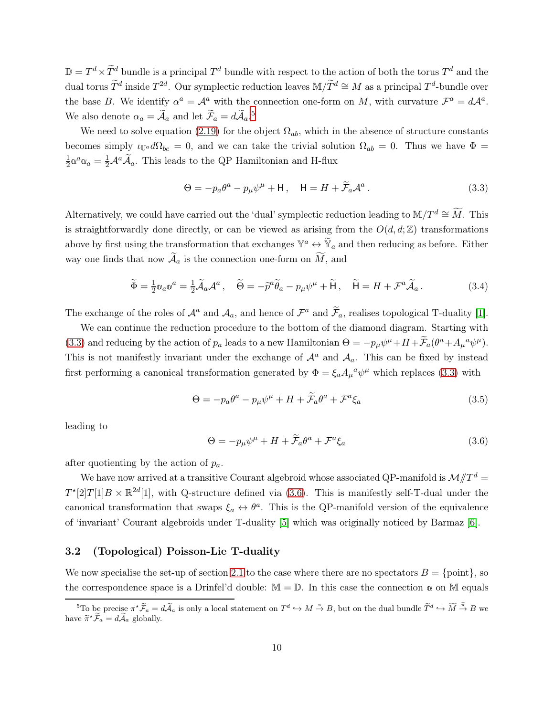$\mathbb{D} = T^d \times \tilde{T}^d$  bundle is a principal  $T^d$  bundle with respect to the action of both the torus  $T^d$  and the dual torus  $\tilde{T}^d$  inside  $T^{2d}$ . Our symplectic reduction leaves M/ $\tilde{T}^d \cong M$  as a principal  $T^d$ -bundle over the base B. We identify  $\alpha^a = \mathcal{A}^a$  with the connection one-form on M, with curvature  $\mathcal{F}^a = d\mathcal{A}^a$ . We also denote  $\alpha_a = \tilde{A}_a$  and let  $\tilde{\mathcal{F}}_a = d\tilde{\mathcal{A}}_a$ .<sup>[5](#page-10-1)</sup>

We need to solve equation [\(2.19\)](#page-9-3) for the object  $\Omega_{ab}$ , which in the absence of structure constants becomes simply  $\iota_{\mathbb{U}^a} d\Omega_{bc} = 0$ , and we can take the trivial solution  $\Omega_{ab} = 0$ . Thus we have  $\Phi =$ 1  $\frac{1}{2}\alpha^a\alpha_a = \frac{1}{2}\mathcal{A}^a\widetilde{\mathcal{A}}_a$ . This leads to the QP Hamiltonian and H-flux

<span id="page-10-2"></span>
$$
\Theta = -p_a \theta^a - p_\mu \psi^\mu + \mathsf{H} \,, \quad \mathsf{H} = H + \widetilde{\mathcal{F}}_a \mathcal{A}^a \,. \tag{3.3}
$$

Alternatively, we could have carried out the 'dual' symplectic reduction leading to M/T<sup>d</sup> ≅  $\widetilde{M}$ . This is straightforwardly done directly, or can be viewed as arising from the  $O(d, d; \mathbb{Z})$  transformations above by first using the transformation that exchanges  $\mathbb{Y}^a \leftrightarrow \mathbb{Y}_a$  and then reducing as before. Either way one finds that now  $\widetilde{\mathcal{A}}_a$  is the connection one-form on  $\widetilde{M}$ , and

$$
\widetilde{\Phi} = \frac{1}{2} \mathfrak{A}_a \mathfrak{A}^a = \frac{1}{2} \widetilde{\mathcal{A}}_a \mathcal{A}^a \,, \quad \widetilde{\Theta} = -\widetilde{p}^a \widetilde{\theta}_a - p_\mu \psi^\mu + \widetilde{\mathsf{H}} \,, \quad \widetilde{\mathsf{H}} = H + \mathcal{F}^a \widetilde{\mathcal{A}}_a \,. \tag{3.4}
$$

The exchange of the roles of  $\mathcal{A}^a$  and  $\mathcal{A}_a$ , and hence of  $\mathcal{F}^a$  and  $\widetilde{\mathcal{F}}_a$ , realises topological T-duality [\[1\]](#page-37-0).

We can continue the reduction procedure to the bottom of the diamond diagram. Starting with [\(3.3\)](#page-10-2) and reducing by the action of  $p_a$  leads to a new Hamiltonian  $\Theta = -p_\mu \psi^\mu + H + \tilde{\mathcal{F}}_a (\theta^a + A_\mu{}^a \psi^\mu)$ . This is not manifestly invariant under the exchange of  $\mathcal{A}^a$  and  $\mathcal{A}_a$ . This can be fixed by instead first performing a canonical transformation generated by  $\Phi = \xi_a A_\mu{}^a \psi^\mu$  which replaces [\(3.3\)](#page-10-2) with

$$
\Theta = -p_a \theta^a - p_\mu \psi^\mu + H + \widetilde{\mathcal{F}}_a \theta^a + \mathcal{F}^a \xi_a \tag{3.5}
$$

leading to

<span id="page-10-3"></span>
$$
\Theta = -p_{\mu}\psi^{\mu} + H + \widetilde{\mathcal{F}}_{a}\theta^{a} + \mathcal{F}^{a}\xi_{a}
$$
\n(3.6)

after quotienting by the action of  $p_a$ .

We have now arrived at a transitive Courant algebroid whose associated QP-manifold is  $\mathcal{M}/T^d$  =  $T^{*}[2]T[1]B \times \mathbb{R}^{2d}[1]$ , with Q-structure defined via [\(3.6\)](#page-10-3). This is manifestly self-T-dual under the canonical transformation that swaps  $\xi_a \leftrightarrow \theta^a$ . This is the QP-manifold version of the equivalence of 'invariant' Courant algebroids under T-duality [\[5\]](#page-37-4) which was originally noticed by Barmaz [\[6\]](#page-37-5).

#### <span id="page-10-0"></span>3.2 (Topological) Poisson-Lie T-duality

We now specialise the set-up of section [2.1](#page-5-1) to the case where there are no spectators  $B = \{\text{point}\}\,$ , so the correspondence space is a Drinfel'd double:  $\mathbb{M} = \mathbb{D}$ . In this case the connection  $\alpha$  on M equals

<span id="page-10-1"></span><sup>&</sup>lt;sup>5</sup>To be precise  $\pi^* \widetilde{F}_a = d \widetilde{A}_a$  is only a local statement on  $T^d \hookrightarrow M \stackrel{\pi}{\rightarrow} B$ , but on the dual bundle  $\widetilde{T}^d \hookrightarrow \widetilde{M} \stackrel{\widetilde{\pi}}{\rightarrow} B$  we have  $\widetilde{\pi}^* \widetilde{\mathcal{F}}_a = d \widetilde{\mathcal{A}}_a$  globally.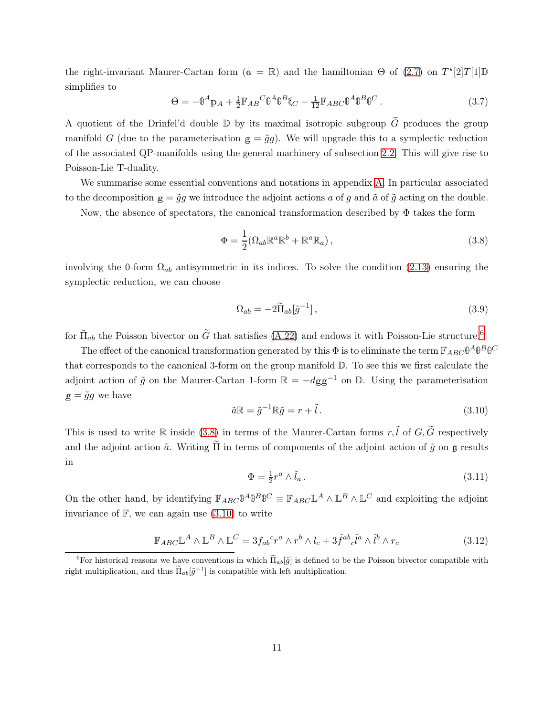the right-invariant Maurer-Cartan form  $(\alpha = \mathbb{R})$  and the hamiltonian  $\Theta$  of [\(2.7\)](#page-7-2) on  $T^*[2]T[1]\mathbb{D}$ simplifies to

$$
\Theta = -\Theta^A \mathbf{p}_A + \frac{1}{2} \mathbb{F}_{AB}{}^C \Theta^A \Theta^B \mathbf{\xi}_C - \frac{1}{12} \mathbb{F}_{ABC} \Theta^A \Theta^B \Theta^C.
$$
 (3.7)

A quotient of the Drinfel'd double  $\mathbb D$  by its maximal isotropic subgroup  $\widetilde G$  produces the group manifold G (due to the parameterisation  $g = \tilde{g}g$ ). We will upgrade this to a symplectic reduction of the associated QP-manifolds using the general machinery of subsection [2.2.](#page-7-0) This will give rise to Poisson-Lie T-duality.

We summarise some essential conventions and notations in appendix [A.](#page-32-0) In particular associated to the decomposition  $g = \tilde{g}g$  we introduce the adjoint actions a of g and  $\tilde{a}$  of  $\tilde{g}$  acting on the double.

Now, the absence of spectators, the canonical transformation described by  $\Phi$  takes the form

<span id="page-11-1"></span>
$$
\Phi = \frac{1}{2} (\Omega_{ab} \mathbb{R}^a \mathbb{R}^b + \mathbb{R}^a \mathbb{R}_a), \qquad (3.8)
$$

involving the 0-form  $\Omega_{ab}$  antisymmetric in its indices. To solve the condition [\(2.13\)](#page-8-1) ensuring the symplectic reduction, we can choose

$$
\Omega_{ab} = -2\widetilde{\Pi}_{ab}[\tilde{g}^{-1}],\tag{3.9}
$$

for  $\tilde{\Pi}_{ab}$  the Poisson bivector on  $\tilde{G}$  that satisfies [\(A.22\)](#page-35-1) and endows it with Poisson-Lie structure.<sup>[6](#page-11-0)</sup>

The effect of the canonical transformation generated by this  $\Phi$  is to eliminate the term  $\mathbb{F}_{ABC}\theta^A\theta^B\theta^C$ that corresponds to the canonical 3-form on the group manifold D. To see this we first calculate the adjoint action of  $\tilde{g}$  on the Maurer-Cartan 1-form  $\mathbb{R} = -dgg^{-1}$  on  $\mathbb{D}$ . Using the parameterisation  $g = \tilde{g}g$  we have

<span id="page-11-2"></span>
$$
\tilde{a}\mathbb{R} = \tilde{g}^{-1}\mathbb{R}\tilde{g} = r + \tilde{l}.
$$
\n(3.10)

This is used to write R inside [\(3.8\)](#page-11-1) in terms of the Maurer-Cartan forms  $r, \tilde{l}$  of  $G, \tilde{G}$  respectively and the adjoint action  $\tilde{a}$ . Writing  $\tilde{\Pi}$  in terms of components of the adjoint action of  $\tilde{g}$  on  $\mathfrak{g}$  results in

$$
\Phi = \frac{1}{2}r^a \wedge \tilde{l}_a. \tag{3.11}
$$

On the other hand, by identifying  $\mathbb{F}_{ABC} \mathbb{D}^A \mathbb{D}^B \mathbb{D}^C \equiv \mathbb{F}_{ABC} \mathbb{L}^A \wedge \mathbb{L}^B \wedge \mathbb{L}^C$  and exploiting the adjoint invariance of  $\mathbb{F}$ , we can again use  $(3.10)$  to write

$$
\mathbb{F}_{ABC} \mathbb{L}^A \wedge \mathbb{L}^B \wedge \mathbb{L}^C = 3f_{ab}{}^c r^a \wedge r^b \wedge l_c + 3\tilde{f}^{ab}{}_{c}\tilde{l}^a \wedge \tilde{l}^b \wedge r_c \tag{3.12}
$$

<span id="page-11-0"></span><sup>&</sup>lt;sup>6</sup>For historical reasons we have conventions in which  $\tilde{\Pi}_{ab}[\tilde{g}]$  is defined to be the Poisson bivector compatible with right multiplication, and thus  $\widetilde{\Pi}_{ab}[\widetilde{g}^{-1}]$  is compatible with left multiplication.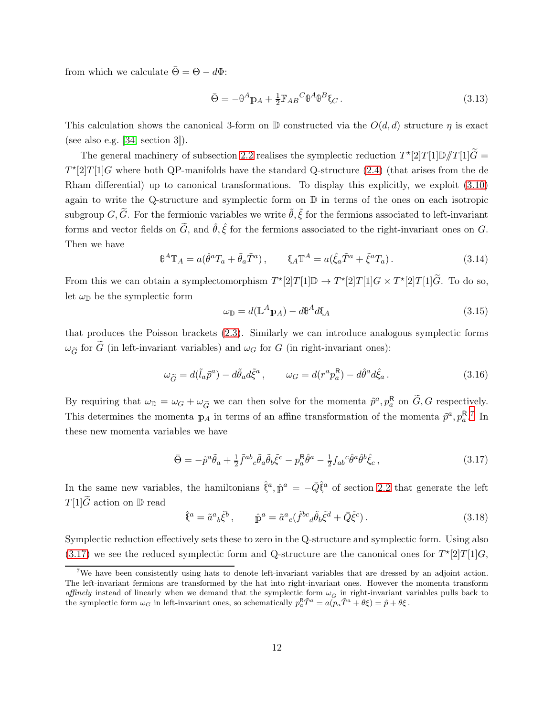from which we calculate  $\bar{\Theta} = \Theta - d\Phi$ :

$$
\bar{\Theta} = -\theta^A \mathbf{p}_A + \frac{1}{2} \mathbb{F}_{AB}{}^C \theta^A \theta^B \xi_C. \tag{3.13}
$$

This calculation shows the canonical 3-form on  $\mathbb D$  constructed via the  $O(d, d)$  structure  $\eta$  is exact (see also e.g.  $[34, \text{ section } 3]$ ).

The general machinery of subsection [2.2](#page-7-0) realises the symplectic reduction  $T^*[2]T[1]\mathbb{D}/T[1]\tilde{G}$  =  $T^{*}[2]T[1]G$  where both QP-manifolds have the standard Q-structure [\(2.4\)](#page-6-2) (that arises from the de Rham differential) up to canonical transformations. To display this explicitly, we exploit [\(3.10\)](#page-11-2) again to write the Q-structure and symplectic form on  $D$  in terms of the ones on each isotropic subgroup G,  $\tilde{G}$ . For the fermionic variables we write  $\tilde{\theta}$ ,  $\tilde{\xi}$  for the fermions associated to left-invariant forms and vector fields on  $\tilde{G}$ , and  $\hat{\theta}$ ,  $\hat{\xi}$  for the fermions associated to the right-invariant ones on G. Then we have

$$
\theta^A \mathbb{T}_A = a(\hat{\theta}^a T_a + \tilde{\theta}_a \tilde{T}^a), \qquad \xi_A \mathbb{T}^A = a(\hat{\xi}_a \tilde{T}^a + \tilde{\xi}^a T_a). \tag{3.14}
$$

From this we can obtain a symplectomorphism  $T^*[2]T[1]\mathbb{D} \to T^*[2]T[1]G \times T^*[2]T[1]\tilde{G}$ . To do so, let  $\omega_{\mathbb{D}}$  be the symplectic form

$$
\omega_{\mathbb{D}} = d(\mathbb{L}^A \mathbb{p}_A) - d\theta^A d\xi_A \tag{3.15}
$$

that produces the Poisson brackets [\(2.3\)](#page-6-3). Similarly we can introduce analogous symplectic forms  $\omega_{\widetilde{G}}$  for  $\widetilde{G}$  (in left-invariant variables) and  $\omega_G$  for G (in right-invariant ones):

$$
\omega_{\widetilde{G}} = d(\widetilde{l}_a \widetilde{p}^a) - d\widetilde{\theta}_a d\widetilde{\xi}^a, \qquad \omega_G = d(r^a p_a^R) - d\widehat{\theta}^a d\widehat{\xi}_a. \tag{3.16}
$$

By requiring that  $\omega_{\mathbb{D}} = \omega_G + \omega_{\widetilde{G}}$  we can then solve for the momenta  $\widetilde{p}^a, p_a^R$  on  $\widetilde{G}, G$  respectively. This determines the momenta  $\mathbb{p}_A$  in terms of an affine transformation of the momenta  $\tilde{p}^a, p_a^{\mathsf{R},7}$  $\tilde{p}^a, p_a^{\mathsf{R},7}$  $\tilde{p}^a, p_a^{\mathsf{R},7}$  In these new momenta variables we have

$$
\bar{\Theta} = -\tilde{p}^a \tilde{\theta}_a + \frac{1}{2} \tilde{f}^{ab}{}_c \tilde{\theta}_a \tilde{\theta}_b \tilde{\xi}^c - p_a^R \hat{\theta}^a - \frac{1}{2} f_{ab}{}^c \hat{\theta}^a \hat{\theta}^b \hat{\xi}_c \,, \tag{3.17}
$$

<span id="page-12-1"></span>In the same new variables, the hamiltonians  $\hat{\xi}^a$ ,  $\hat{p}^a = -\overline{Q}\hat{\xi}^a$  of section [2.2](#page-7-0) that generate the left  $T[1]\widetilde{G}$  action on D read

$$
\hat{\xi}^a = \tilde{a}^a{}_b \tilde{\xi}^b \,, \qquad \hat{\mathbb{p}}^a = \tilde{a}^a{}_c (\tilde{f}^{bc}{}_d \tilde{\theta}_b \tilde{\xi}^d + \bar{Q} \tilde{\xi}^c) \,. \tag{3.18}
$$

Symplectic reduction effectively sets these to zero in the Q-structure and symplectic form. Using also [\(3.17\)](#page-12-1) we see the reduced symplectic form and Q-structure are the canonical ones for  $T^*[2]T[1]G$ ,

<span id="page-12-0"></span><sup>&</sup>lt;sup>7</sup>We have been consistently using hats to denote left-invariant variables that are dressed by an adjoint action. The left-invariant fermions are transformed by the hat into right-invariant ones. However the momenta transform affinely instead of linearly when we demand that the symplectic form  $\omega_{\hat{G}}$  in right-invariant variables pulls back to the symplectic form  $\omega_G$  in left-invariant ones, so schematically  $p_a^R \tilde{T}^a = a(p_a \tilde{T}^a + \theta \xi) = \hat{p} + \theta \xi$ .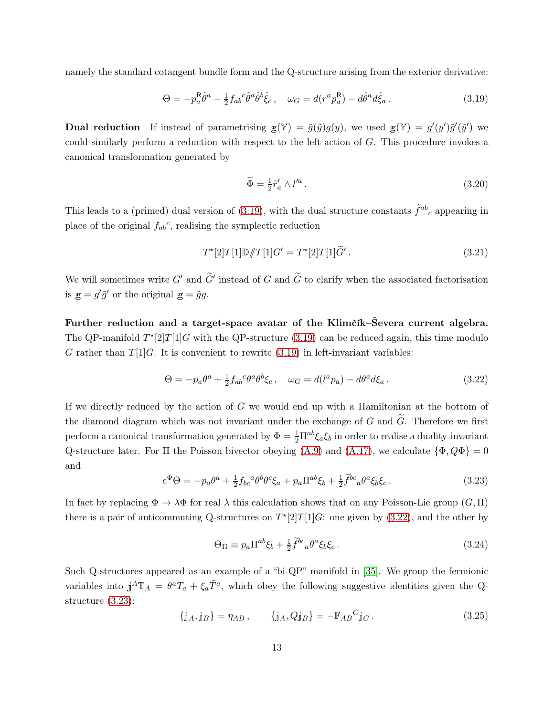namely the standard cotangent bundle form and the Q-structure arising from the exterior derivative:

<span id="page-13-0"></span>
$$
\Theta = -p_a^{\mathsf{R}}\hat{\theta}^a - \frac{1}{2}f_{ab}{}^c\hat{\theta}^a\hat{\theta}^b\hat{\xi}_c, \quad \omega_G = d(r^a p_a^{\mathsf{R}}) - d\hat{\theta}^a d\hat{\xi}_a. \tag{3.19}
$$

**Dual reduction** If instead of parametrising  $g(Y) = \tilde{g}(\tilde{y})g(y)$ , we used  $g(Y) = g'(y')\tilde{g}'(\tilde{y}')$  we could similarly perform a reduction with respect to the left action of G. This procedure invokes a canonical transformation generated by

$$
\widetilde{\Phi} = \frac{1}{2} \widetilde{r}'_a \wedge l'^a. \tag{3.20}
$$

This leads to a (primed) dual version of [\(3.19\)](#page-13-0), with the dual structure constants  $\tilde{f}^{ab}{}_c$  appearing in place of the original  $f_{ab}^c$ , realising the symplectic reduction

$$
T^*[2]T[1]\mathbb{D}/T[1]G' = T^*[2]T[1]\tilde{G}'.\tag{3.21}
$$

We will sometimes write  $G'$  and  $\tilde{G}'$  instead of G and  $\tilde{G}$  to clarify when the associated factorisation is  $g = g' \tilde{g}'$  or the original  $g = \tilde{g}g$ .

Further reduction and a target-space avatar of the Klimčík–Ševera current algebra. The QP-manifold  $T^{*}[2]T[1]G$  with the QP-structure [\(3.19\)](#page-13-0) can be reduced again, this time modulo G rather than  $T[1]$ G. It is convenient to rewrite [\(3.19\)](#page-13-0) in left-invariant variables:

<span id="page-13-1"></span>
$$
\Theta = -p_a \theta^a + \frac{1}{2} f_{ab}{}^c \theta^a \theta^b \xi_c, \quad \omega_G = d(l^a p_a) - d\theta^a d\xi_a. \tag{3.22}
$$

If we directly reduced by the action of G we would end up with a Hamiltonian at the bottom of the diamond diagram which was not invariant under the exchange of G and  $\tilde{G}$ . Therefore we first perform a canonical transformation generated by  $\Phi = \frac{1}{2}\Pi^{ab}\xi_a\xi_b$  in order to realise a duality-invariant Q-structure later. For  $\Pi$  the Poisson bivector obeying [\(A.9\)](#page-34-2) and [\(A.17\)](#page-35-2), we calculate  $\{\Phi, Q\Phi\} = 0$ and

<span id="page-13-2"></span>
$$
e^{\Phi}\Theta = -p_a\theta^a + \frac{1}{2}f_{bc}{}^a\theta^b\theta^c\xi_a + p_a\Pi^{ab}\xi_b + \frac{1}{2}\tilde{f}^{bc}{}_a\theta^a\xi_b\xi_c. \tag{3.23}
$$

In fact by replacing  $\Phi \to \lambda \Phi$  for real  $\lambda$  this calculation shows that on any Poisson-Lie group  $(G, \Pi)$ there is a pair of anticommuting Q-structures on  $T^{*}[2]T[1]G$ : one given by [\(3.22\)](#page-13-1), and the other by

$$
\Theta_{\Pi} \equiv p_a \Pi^{ab} \xi_b + \frac{1}{2} \tilde{f}^{bc}{}_a \theta^a \xi_b \xi_c \,. \tag{3.24}
$$

Such Q-structures appeared as an example of a "bi-QP" manifold in [\[35\]](#page-39-7). We group the fermionic variables into  $j^A \mathbb{T}_A = \theta^a T_a + \xi_a \tilde{T}^a$ , which obey the following suggestive identities given the Qstructure [\(3.23\)](#page-13-2):

<span id="page-13-3"></span>
$$
\{j_A, j_B\} = \eta_{AB}, \qquad \{j_A, Qj_B\} = -\mathbb{F}_{AB}{}^C j_C. \qquad (3.25)
$$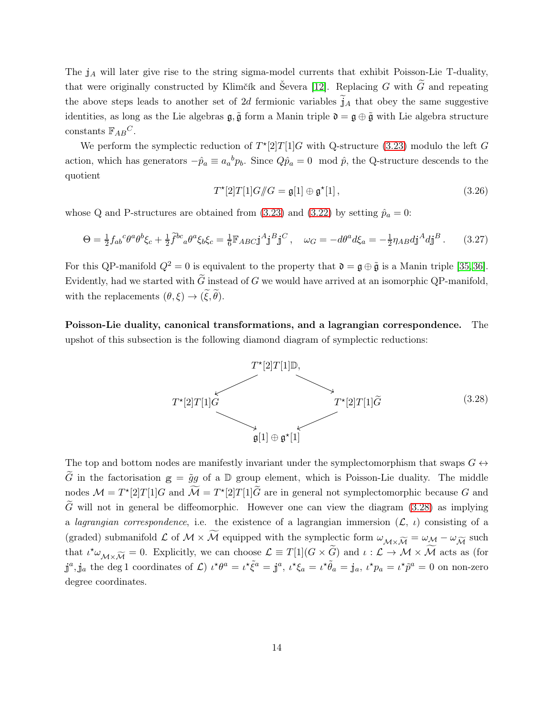The  $j_A$  will later give rise to the string sigma-model currents that exhibit Poisson-Lie T-duality, that were originally constructed by Klimčík and Ševera [\[12\]](#page-37-8). Replacing G with  $\tilde{G}$  and repeating the above steps leads to another set of 2d fermionic variables  $\tilde{j}_A$  that obey the same suggestive identities, as long as the Lie algebras  $\mathfrak{g}, \tilde{\mathfrak{g}}$  form a Manin triple  $\mathfrak{d} = \mathfrak{g} \oplus \tilde{\mathfrak{g}}$  with Lie algebra structure constants  $\mathbb{F}_{AB}C$ .

We perform the symplectic reduction of  $T^{*}[2]T[1]G$  with Q-structure [\(3.23\)](#page-13-2) modulo the left G action, which has generators  $-\hat{p}_a \equiv a_a{}^b p_b$ . Since  $Q\hat{p}_a = 0 \mod \hat{p}$ , the Q-structure descends to the quotient

$$
T^*[2]T[1]G/\!\!/G = \mathfrak{g}[1] \oplus \mathfrak{g}^*[1],\tag{3.26}
$$

whose Q and P-structures are obtained from [\(3.23\)](#page-13-2) and [\(3.22\)](#page-13-1) by setting  $\hat{p}_a = 0$ :

<span id="page-14-1"></span>
$$
\Theta = \frac{1}{2} f_{ab}{}^c \theta^a \theta^b \xi_c + \frac{1}{2} \tilde{f}^{bc}{}_a \theta^a \xi_b \xi_c = \frac{1}{6} \mathbb{F}_{ABC} \mathbf{j}^A \mathbf{j}^B \mathbf{j}^C \,, \quad \omega_G = -d\theta^a d\xi_a = -\frac{1}{2} \eta_{AB} d\mathbf{j}^A d\mathbf{j}^B \,. \tag{3.27}
$$

For this QP-manifold  $Q^2 = 0$  is equivalent to the property that  $\mathfrak{d} = \mathfrak{g} \oplus \tilde{\mathfrak{g}}$  is a Manin triple [\[35,](#page-39-7)[36\]](#page-39-8). Evidently, had we started with  $\tilde{G}$  instead of G we would have arrived at an isomorphic QP-manifold, with the replacements  $(\theta, \xi) \rightarrow (\tilde{\xi}, \tilde{\theta})$ .

Poisson-Lie duality, canonical transformations, and a lagrangian correspondence. The upshot of this subsection is the following diamond diagram of symplectic reductions:

<span id="page-14-0"></span>

The top and bottom nodes are manifestly invariant under the symplectomorphism that swaps  $G \leftrightarrow$ G in the factorisation  $g = \tilde{g}g$  of a D group element, which is Poisson-Lie duality. The middle nodes  $\mathcal{M} = T^*[2]T[1]G$  and  $\widetilde{\mathcal{M}} = T^*[2]T[1]\widetilde{G}$  are in general not symplectomorphic because G and  $\tilde{G}$  will not in general be diffeomorphic. However one can view the diagram [\(3.28\)](#page-14-0) as implying a *lagrangian correspondence*, i.e. the existence of a lagrangian immersion  $(\mathcal{L}, \iota)$  consisting of a (graded) submanifold  $\mathcal L$  of  $\mathcal M \times \widetilde{\mathcal M}$  equipped with the symplectic form  $\omega_{\mathcal M \times \widetilde{\mathcal M}} = \omega_{\mathcal M} - \omega_{\widetilde{\mathcal M}}$  such that  $\iota^* \omega_{\mathcal{M} \times \widetilde{\mathcal{M}}} = 0$ . Explicitly, we can choose  $\mathcal{L} \equiv T[1](G \times \widetilde{G})$  and  $\iota : \mathcal{L} \to \mathcal{M} \times \widetilde{\mathcal{M}}$  acts as (for  $\mathbf{j}^a, \mathbf{j}_a$  the deg 1 coordinates of  $\mathcal{L}$ )  $\iota^{\star}\theta^a = \iota^{\star}\tilde{\xi}^a = \mathbf{j}^a$ ,  $\iota^{\star}\xi_a = \iota^{\star}\tilde{\theta}_a = \mathbf{j}_a$ ,  $\iota^{\star}p_a = \iota^{\star}\tilde{p}^a = 0$  on non-zero degree coordinates.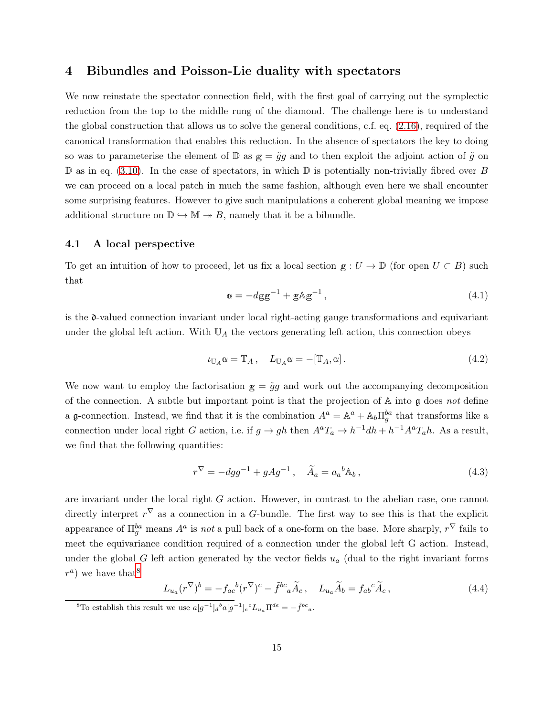### <span id="page-15-0"></span>4 Bibundles and Poisson-Lie duality with spectators

We now reinstate the spectator connection field, with the first goal of carrying out the symplectic reduction from the top to the middle rung of the diamond. The challenge here is to understand the global construction that allows us to solve the general conditions, c.f. eq. [\(2.16\)](#page-8-2), required of the canonical transformation that enables this reduction. In the absence of spectators the key to doing so was to parameterise the element of  $\mathbb{D}$  as  $g = \tilde{g}g$  and to then exploit the adjoint action of  $\tilde{g}$  on  $\mathbb D$  as in eq. [\(3.10\)](#page-11-2). In the case of spectators, in which  $\mathbb D$  is potentially non-trivially fibred over B we can proceed on a local patch in much the same fashion, although even here we shall encounter some surprising features. However to give such manipulations a coherent global meaning we impose additional structure on  $\mathbb{D} \hookrightarrow \mathbb{M} \to B$ , namely that it be a bibundle.

#### <span id="page-15-1"></span>4.1 A local perspective

To get an intuition of how to proceed, let us fix a local section  $g: U \to \mathbb{D}$  (for open  $U \subset B$ ) such that

$$
\alpha = -dgg^{-1} + gAg^{-1},\qquad(4.1)
$$

is the d-valued connection invariant under local right-acting gauge transformations and equivariant under the global left action. With  $\mathbb{U}_A$  the vectors generating left action, this connection obeys

$$
\iota_{\mathbb{U}_A}\mathbb{Q} = \mathbb{T}_A, \quad L_{\mathbb{U}_A}\mathbb{Q} = -[\mathbb{T}_A, \mathbb{Q}]. \tag{4.2}
$$

We now want to employ the factorisation  $g = \tilde{g}g$  and work out the accompanying decomposition of the connection. A subtle but important point is that the projection of  $A$  into  $\mathfrak g$  does not define a g-connection. Instead, we find that it is the combination  $A^a = \mathbb{A}^a + \mathbb{A}_b \Pi_g^{ba}$  that transforms like a connection under local right G action, i.e. if  $g \to gh$  then  $A^aT_a \to h^{-1}dh + h^{-1}A^aT_ah$ . As a result, we find that the following quantities:

$$
r^{\nabla} = -dgg^{-1} + gAg^{-1}, \quad \tilde{A}_a = a_a{}^b \mathbb{A}_b, \tag{4.3}
$$

are invariant under the local right G action. However, in contrast to the abelian case, one cannot directly interpret  $r^{\nabla}$  as a connection in a G-bundle. The first way to see this is that the explicit appearance of  $\Pi_g^{ba}$  means  $A^a$  is *not* a pull back of a one-form on the base. More sharply,  $r^{\nabla}$  fails to meet the equivariance condition required of a connection under the global left G action. Instead, under the global G left action generated by the vector fields  $u_a$  (dual to the right invariant forms  $r^a$ ) we have that<sup>[8](#page-15-2)</sup>

$$
L_{u_a}(r^{\nabla})^b = -f_{ac}{}^b(r^{\nabla})^c - \tilde{f}^{bc}{}_a \tilde{A}_c \,, \quad L_{u_a} \tilde{A}_b = f_{ab}{}^c \tilde{A}_c \,, \tag{4.4}
$$

<span id="page-15-2"></span><sup>8</sup>To establish this result we use  $a[g^{-1}]_d{}^b a[g^{-1}]_e{}^c L_{u_a} \Pi^{de} = -\tilde{f}^{bc}{}_a$ .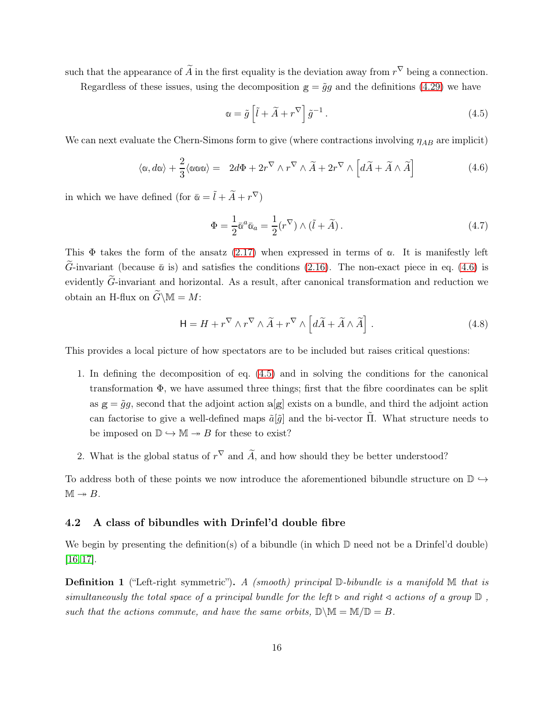such that the appearance of  $\tilde{A}$  in the first equality is the deviation away from  $r^{\nabla}$  being a connection.

Regardless of these issues, using the decomposition  $g = \tilde{q}q$  and the definitions [\(4.29\)](#page-20-0) we have

<span id="page-16-2"></span>
$$
\alpha = \tilde{g} \left[ \tilde{l} + \tilde{A} + r^{\nabla} \right] \tilde{g}^{-1} . \tag{4.5}
$$

We can next evaluate the Chern-Simons form to give (where contractions involving  $\eta_{AB}$  are implicit)

<span id="page-16-1"></span>
$$
\langle \alpha, d\alpha \rangle + \frac{2}{3} \langle \alpha \alpha \alpha \rangle = 2d\Phi + 2r^{\nabla} \wedge r^{\nabla} \wedge \widetilde{A} + 2r^{\nabla} \wedge \left[ d\widetilde{A} + \widetilde{A} \wedge \widetilde{A} \right]
$$
(4.6)

in which we have defined (for  $\bar{\mathfrak{a}} = \tilde{l} + \tilde{A} + r^{\nabla}$ )

$$
\Phi = \frac{1}{2}\bar{\omega}^a \bar{\omega}_a = \frac{1}{2}(r^{\nabla}) \wedge (\tilde{l} + \tilde{A}).
$$
\n(4.7)

This  $\Phi$  takes the form of the ansatz [\(2.17\)](#page-9-4) when expressed in terms of  $\alpha$ . It is manifestly left G-invariant (because  $\bar{\omega}$  is) and satisfies the conditions [\(2.16\)](#page-8-2). The non-exact piece in eq. [\(4.6\)](#page-16-1) is evidently  $\tilde{G}$ -invariant and horizontal. As a result, after canonical transformation and reduction we obtain an H-flux on  $\widetilde{G}\backslash \mathbb{M} = M$ :

$$
\mathsf{H} = H + r^{\nabla} \wedge r^{\nabla} \wedge \widetilde{A} + r^{\nabla} \wedge \left[ d\widetilde{A} + \widetilde{A} \wedge \widetilde{A} \right]. \tag{4.8}
$$

This provides a local picture of how spectators are to be included but raises critical questions:

- 1. In defining the decomposition of eq. [\(4.5\)](#page-16-2) and in solving the conditions for the canonical transformation  $\Phi$ , we have assumed three things; first that the fibre coordinates can be split as  $g = \tilde{g}g$ , second that the adjoint action a[g] exists on a bundle, and third the adjoint action can factorise to give a well-defined maps  $\tilde{a}[\tilde{g}]$  and the bi-vector  $\Pi$ . What structure needs to be imposed on  $\mathbb{D} \hookrightarrow \mathbb{M} \rightarrow B$  for these to exist?
- 2. What is the global status of  $r^{\nabla}$  and  $\tilde{A}$ , and how should they be better understood?

To address both of these points we now introduce the aforementioned bibundle structure on  $\mathbb{D} \hookrightarrow$  $M \rightarrow B$ .

#### <span id="page-16-0"></span>4.2 A class of bibundles with Drinfel'd double fibre

We begin by presenting the definition(s) of a bibundle (in which  $\mathbb D$  need not be a Drinfel'd double) [\[16,](#page-38-14) [17\]](#page-38-3).

**Definition 1** ("Left-right symmetric"). A (smooth) principal  $\mathbb{D}$ -bibundle is a manifold  $\mathbb{M}$  that is simultaneously the total space of a principal bundle for the left  $\triangleright$  and right  $\triangleleft$  actions of a group  $\mathbb D$ , such that the actions commute, and have the same orbits,  $\mathbb{D}\setminus\mathbb{M}=\mathbb{M}/\mathbb{D}=B$ .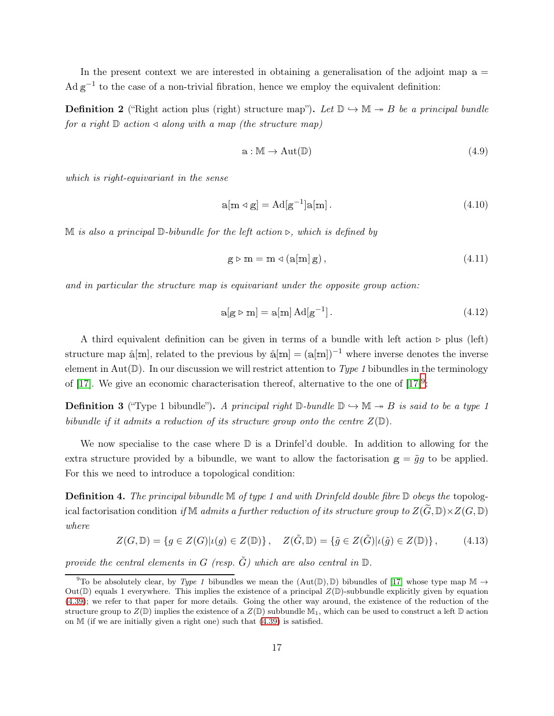In the present context we are interested in obtaining a generalisation of the adjoint map  $a =$  $\text{Ad} \,\text{g}^{-1}$  to the case of a non-trivial fibration, hence we employ the equivalent definition:

**Definition 2** ("Right action plus (right) structure map"). Let  $\mathbb{D} \hookrightarrow \mathbb{M} \rightarrow B$  be a principal bundle for a right  $\mathbb D$  action  $\triangleleft$  along with a map (the structure map)

$$
a: M \to Aut(\mathbb{D}) \tag{4.9}
$$

which is right-equivariant in the sense

$$
a[m \triangleleft g] = Ad[g^{-1}]a[m]. \qquad (4.10)
$$

M is also a principal D-bibundle for the left action ⊳, which is defined by

$$
g \triangleright m = m \triangleleft (a[m] g), \tag{4.11}
$$

and in particular the structure map is equivariant under the opposite group action:

$$
a[g \triangleright m] = a[m] Ad[g^{-1}]. \tag{4.12}
$$

A third equivalent definition can be given in terms of a bundle with left action ⊳ plus (left) structure map  $\hat{a}[\text{m}]$ , related to the previous by  $\hat{a}[\text{m}] = (a[\text{m}])^{-1}$  where inverse denotes the inverse element in Aut( $\mathbb{D}$ ). In our discussion we will restrict attention to Type 1 bibundles in the terminology of [\[17\]](#page-38-3). We give an economic characterisation thereof, alternative to the one of  $[17]^9$  $[17]^9$ :

<span id="page-17-2"></span>**Definition 3** ("Type 1 bibundle"). A principal right  $\mathbb{D}$ -bundle  $\mathbb{D} \hookrightarrow \mathbb{M} \rightarrow B$  is said to be a type 1 bibundle if it admits a reduction of its structure group onto the centre  $Z(\mathbb{D})$ .

We now specialise to the case where  $\mathbb D$  is a Drinfel'd double. In addition to allowing for the extra structure provided by a bibundle, we want to allow the factorisation  $g = \tilde{g}g$  to be applied. For this we need to introduce a topological condition:

<span id="page-17-1"></span>**Definition 4.** The principal bibundle  $\mathbb{M}$  of type 1 and with Drinfeld double fibre  $\mathbb{D}$  obeys the topological factorisation condition if M admits a further reduction of its structure group to  $Z(\tilde{G}, \mathbb{D}) \times Z(G, \mathbb{D})$ where

<span id="page-17-3"></span>
$$
Z(G,\mathbb{D}) = \{ g \in Z(G) | \iota(g) \in Z(\mathbb{D}) \}, \quad Z(\tilde{G},\mathbb{D}) = \{ \tilde{g} \in Z(\tilde{G}) | \iota(\tilde{g}) \in Z(\mathbb{D}) \}, \tag{4.13}
$$

provide the central elements in G (resp.  $\tilde{G}$ ) which are also central in  $\mathbb{D}$ .

<span id="page-17-0"></span><sup>&</sup>lt;sup>9</sup>To be absolutely clear, by Type 1 bibundles we mean the  $(Aut(\mathbb{D}), \mathbb{D})$  bibundles of [\[17\]](#page-38-3) whose type map  $\mathbb{M} \to$ Out( $\mathbb D$ ) equals 1 everywhere. This implies the existence of a principal  $Z(\mathbb D)$ -subbundle explicitly given by equation [\(4.39\)](#page-21-1); we refer to that paper for more details. Going the other way around, the existence of the reduction of the structure group to  $Z(\mathbb{D})$  implies the existence of a  $Z(\mathbb{D})$  subbundle  $\mathbb{M}_1$ , which can be used to construct a left  $\mathbb D$  action on M (if we are initially given a right one) such that [\(4.39\)](#page-21-1) is satisfied.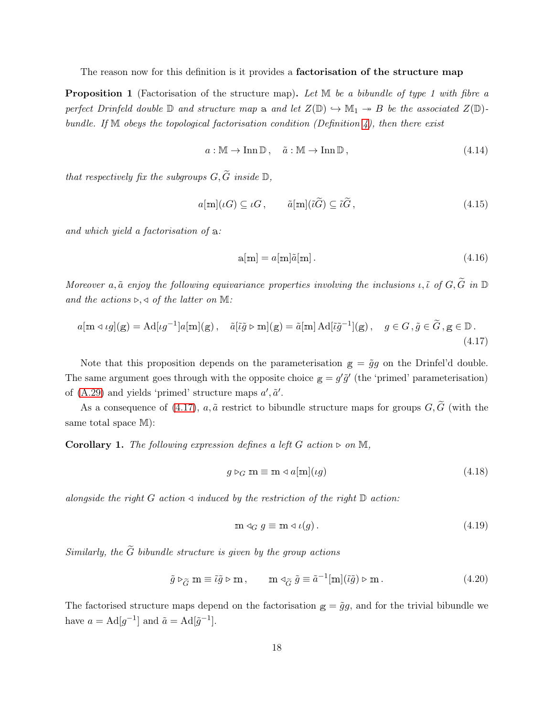The reason now for this definition is it provides a **factorisation of the structure map** 

<span id="page-18-0"></span>**Proposition 1** (Factorisation of the structure map). Let M be a bibundle of type 1 with fibre a perfect Drinfeld double  $\mathbb D$  and structure map a and let  $Z(\mathbb D) \hookrightarrow \mathbb M_1 \to B$  be the associated  $Z(\mathbb D)$ bundle. If  $M$  obeys the topological factorisation condition (Definition [4\)](#page-17-1), then there exist

$$
a: \mathbb{M} \to \text{Inn } \mathbb{D}, \quad \tilde{a}: \mathbb{M} \to \text{Inn } \mathbb{D}, \tag{4.14}
$$

that respectively fix the subgroups  $G, \widetilde{G}$  inside  $\mathbb{D}$ ,

<span id="page-18-2"></span>
$$
a[\mathbf{m}](\iota G) \subseteq \iota G, \qquad \tilde{a}[\mathbf{m}](\tilde{\iota}\tilde{G}) \subseteq \tilde{\iota}\tilde{G}, \qquad (4.15)
$$

and which yield a factorisation of <sup>a</sup>:

$$
a[m] = a[m]\tilde{a}[m]. \tag{4.16}
$$

Moreover a,  $\tilde{a}$  enjoy the following equivariance properties involving the inclusions  $\iota, \tilde{\iota}$  of  $G, \tilde{G}$  in  $\mathbb D$ and the actions  $\triangleright, \triangleleft$  of the latter on M:

<span id="page-18-1"></span>
$$
a[\mathbf{m} \triangleleft \iota g](\mathbf{g}) = \mathrm{Ad}[\iota g^{-1}]a[\mathbf{m}](\mathbf{g}), \quad \tilde{a}[\tilde{\iota}\tilde{g} \triangleright \mathbf{m}](\mathbf{g}) = \tilde{a}[\mathbf{m}] \mathrm{Ad}[\tilde{\iota}\tilde{g}^{-1}](\mathbf{g}), \quad g \in G, \tilde{g} \in \tilde{G}, \mathbf{g} \in \mathbb{D}.
$$
\n(4.17)

Note that this proposition depends on the parameterisation  $g = \tilde{g}g$  on the Drinfel'd double. The same argument goes through with the opposite choice  $g = g' \tilde{g}'$  (the 'primed' parameterisation) of [\(A.29\)](#page-36-0) and yields 'primed' structure maps  $a', \tilde{a}'.$ 

As a consequence of [\(4.17\)](#page-18-1),  $a, \tilde{a}$  restrict to bibundle structure maps for groups  $G, \tilde{G}$  (with the same total space  $M$ :

Corollary 1. The following expression defines a left G action  $\triangleright$  on M,

$$
g \triangleright_G \mathbf{m} \equiv \mathbf{m} \triangleleft a[\mathbf{m}](\iota g) \tag{4.18}
$$

alongside the right G action  $\triangleleft$  induced by the restriction of the right D action:

$$
\mathbf{m} \triangleleft_G g \equiv \mathbf{m} \triangleleft \iota(g). \tag{4.19}
$$

Similarly, the  $\widetilde{G}$  bibundle structure is given by the group actions

$$
\tilde{g} \triangleright_{\widetilde{G}} m \equiv \tilde{\iota}\tilde{g} \triangleright m , \qquad m \triangleleft_{\widetilde{G}} \tilde{g} \equiv \tilde{a}^{-1}[m](\tilde{\iota}\tilde{g}) \triangleright m . \qquad (4.20)
$$

The factorised structure maps depend on the factorisation  $g = \tilde{g}g$ , and for the trivial bibundle we have  $a = \text{Ad}[g^{-1}]$  and  $\tilde{a} = \text{Ad}[\tilde{g}^{-1}]$ .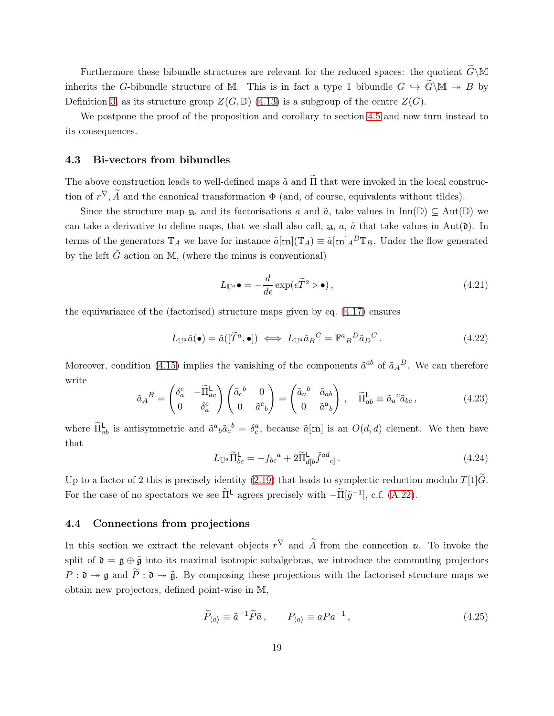Furthermore these bibundle structures are relevant for the reduced spaces: the quotient  $\widetilde{G}\backslash\mathbb{M}$ inherits the G-bibundle structure of M. This is in fact a type 1 bibundle  $G \hookrightarrow \widetilde{G} \backslash \mathbb{M} \twoheadrightarrow B$  by Definition [3,](#page-17-2) as its structure group  $Z(G,\mathbb{D})$  [\(4.13\)](#page-17-3) is a subgroup of the centre  $Z(G)$ .

We postpone the proof of the proposition and corollary to section [4.5](#page-21-0) and now turn instead to its consequences.

#### <span id="page-19-0"></span>4.3 Bi-vectors from bibundles

The above construction leads to well-defined maps  $\tilde{a}$  and  $\tilde{\Pi}$  that were invoked in the local construction of  $r^{\nabla}$ , A and the canonical transformation  $\Phi$  (and, of course, equivalents without tildes).

Since the structure map a, and its factorisations a and  $\tilde{a}$ , take values in Inn(D)  $\subseteq$  Aut(D) we can take a derivative to define maps, that we shall also call, a, a,  $\tilde{a}$  that take values in Aut( $\tilde{o}$ ). In terms of the generators  $\mathbb{T}_A$  we have for instance  $\tilde{a}[\mathbf{m}](\mathbb{T}_A) \equiv \tilde{a}[\mathbf{m}]_A^B \mathbb{T}_B$ . Under the flow generated by the left  $\tilde{G}$  action on M, (where the minus is conventional)

$$
L_{\mathbb{U}^a}\bullet = -\frac{d}{d\epsilon} \exp(\epsilon \widetilde{T}^a \rhd \bullet), \qquad (4.21)
$$

the equivariance of the (factorised) structure maps given by eq. [\(4.17\)](#page-18-1) ensures

$$
L_{\mathbb{U}^a}\tilde{a}(\bullet) = \tilde{a}([\tilde{T}^a, \bullet]) \iff L_{\mathbb{U}^a}\tilde{a}_B{}^C = \mathbb{F}^a{}_B{}^D\tilde{a}_D{}^C.
$$
\n(4.22)

Moreover, condition [\(4.15\)](#page-18-2) implies the vanishing of the components  $\tilde{a}^{ab}$  of  $\tilde{a}_A{}^B$ . We can therefore write

<span id="page-19-2"></span>
$$
\tilde{a}_A{}^B = \begin{pmatrix} \delta_a^c & -\tilde{\Pi}_{ac}^{\mathsf{L}} \\ 0 & \delta_a^c \end{pmatrix} \begin{pmatrix} \tilde{a}_c{}^b & 0 \\ 0 & \tilde{a}^c{}_b \end{pmatrix} = \begin{pmatrix} \tilde{a}_a{}^b & \tilde{a}_{ab} \\ 0 & \tilde{a}^a{}_b \end{pmatrix}, \quad \tilde{\Pi}_{ab}^{\mathsf{L}} \equiv \tilde{a}_a{}^c \tilde{a}_{bc} \,, \tag{4.23}
$$

where  $\tilde{\Pi}_{ab}^{\mathsf{L}}$  is antisymmetric and  $\tilde{a}^a{}_b\tilde{a}_c{}^b = \delta_c^a$ , because  $\tilde{a}[\mathbf{m}]$  is an  $O(d,d)$  element. We then have that

$$
L_{\mathbb{U}^a} \widetilde{\Pi}_{bc}^{\mathsf{L}} = -f_{bc}{}^a + 2 \widetilde{\Pi}_{d[b}^{\mathsf{L}} \widetilde{f}^{ad}{}_{c]} \,. \tag{4.24}
$$

Up to a factor of 2 this is precisely identity [\(2.19\)](#page-9-3) that leads to symplectic reduction modulo  $T[1]\tilde{G}$ . For the case of no spectators we see  $\tilde{\Pi}^{\mathsf{L}}$  agrees precisely with  $-\tilde{\Pi}[\tilde{g}^{-1}]$ , c.f. [\(A.22\)](#page-35-1).

#### <span id="page-19-1"></span>4.4 Connections from projections

In this section we extract the relevant objects  $r^{\nabla}$  and  $\tilde{A}$  from the connection  $\alpha$ . To invoke the split of  $\mathfrak{d} = \mathfrak{g} \oplus \tilde{\mathfrak{g}}$  into its maximal isotropic subalgebras, we introduce the commuting projectors  $P: \mathfrak{d} \to \mathfrak{g}$  and  $\widetilde{P}: \mathfrak{d} \to \widetilde{\mathfrak{g}}$ . By composing these projections with the factorised structure maps we obtain new projectors, defined point-wise in M,

$$
\widetilde{P}_{\langle \tilde{a} \rangle} \equiv \tilde{a}^{-1} \widetilde{P} \tilde{a} \,, \qquad P_{\langle a \rangle} \equiv a P a^{-1} \,, \tag{4.25}
$$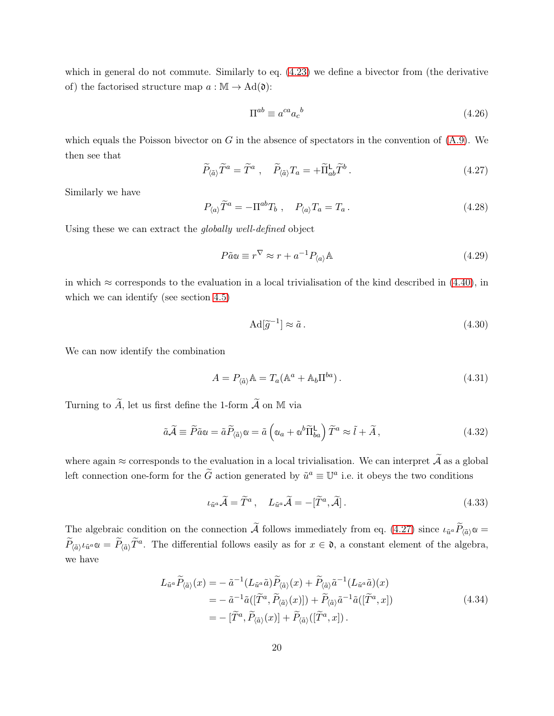which in general do not commute. Similarly to eq. [\(4.23\)](#page-19-2) we define a bivector from (the derivative of) the factorised structure map  $a : \mathbb{M} \to \mathrm{Ad}(\mathfrak{d})$ :

$$
\Pi^{ab} \equiv a^{ca} a_c^{b} \tag{4.26}
$$

which equals the Poisson bivector on G in the absence of spectators in the convention of  $(A.9)$ . We then see that

<span id="page-20-1"></span>
$$
\widetilde{P}_{\langle \tilde{a} \rangle} \widetilde{T}^a = \widetilde{T}^a \ , \quad \widetilde{P}_{\langle \tilde{a} \rangle} T_a = + \widetilde{\Pi}_{ab}^{\mathsf{L}} \widetilde{T}^b \ . \tag{4.27}
$$

Similarly we have

$$
P_{\langle a \rangle} \widetilde{T}^a = -\Pi^{ab} T_b \ , \quad P_{\langle a \rangle} T_a = T_a \ . \tag{4.28}
$$

Using these we can extract the globally well-defined object

<span id="page-20-0"></span>
$$
P\tilde{a}\omega \equiv r^{\nabla} \approx r + a^{-1} P_{\langle a \rangle} \mathbb{A} \tag{4.29}
$$

in which  $\approx$  corresponds to the evaluation in a local trivialisation of the kind described in [\(4.40\)](#page-22-0), in which we can identify (see section [4.5\)](#page-21-0)

$$
\mathrm{Ad}[\widetilde{g}^{-1}] \approx \widetilde{a} \,. \tag{4.30}
$$

We can now identify the combination

$$
A = P_{\langle \tilde{a} \rangle} \mathbb{A} = T_a (\mathbb{A}^a + \mathbb{A}_b \Pi^{ba}). \tag{4.31}
$$

Turning to  $\widetilde{A}$ , let us first define the 1-form  $\widetilde{A}$  on M via

<span id="page-20-2"></span>
$$
\tilde{a}\tilde{\mathcal{A}} \equiv \tilde{P}\tilde{a}\alpha = \tilde{a}\tilde{P}_{\langle \tilde{a} \rangle}\alpha = \tilde{a}\left(\alpha_a + \alpha^b \tilde{\Pi}_{ba}^{\mathsf{L}}\right)\tilde{T}^a \approx \tilde{l} + \tilde{A},\tag{4.32}
$$

where again  $\approx$  corresponds to the evaluation in a local trivialisation. We can interpret  $\widetilde{A}$  as a global left connection one-form for the  $\tilde{G}$  action generated by  $\tilde{u}^a \equiv \mathbb{U}^a$  i.e. it obeys the two conditions

$$
\iota_{\tilde{u}^a}\tilde{\mathcal{A}} = \tilde{T}^a, \quad L_{\tilde{u}^a}\tilde{\mathcal{A}} = -[\tilde{T}^a, \tilde{\mathcal{A}}]. \tag{4.33}
$$

The algebraic condition on the connection A follows immediately from eq. [\(4.27\)](#page-20-1) since  $\iota_{\tilde{u}^a} P_{\langle \tilde{a} \rangle} \omega =$  $\widetilde{P}_{(\tilde{a})} \iota_{\tilde{u}^a} \omega = \widetilde{P}_{(\tilde{a})} \widetilde{T}^a$ . The differential follows easily as for  $x \in \mathfrak{d}$ , a constant element of the algebra, we have

$$
L_{\tilde{u}^a} \widetilde{P}_{\langle \tilde{a} \rangle}(x) = -\tilde{a}^{-1} (L_{\tilde{u}^a} \tilde{a}) \widetilde{P}_{\langle \tilde{a} \rangle}(x) + \widetilde{P}_{\langle \tilde{a} \rangle} \tilde{a}^{-1} (L_{\tilde{u}^a} \tilde{a})(x)
$$
  
\n
$$
= -\tilde{a}^{-1} \tilde{a} ([\widetilde{T}^a, \widetilde{P}_{\langle \tilde{a} \rangle}(x)]) + \widetilde{P}_{\langle \tilde{a} \rangle} \tilde{a}^{-1} \tilde{a} ([\widetilde{T}^a, x])
$$
  
\n
$$
= -[\widetilde{T}^a, \widetilde{P}_{\langle \tilde{a} \rangle}(x)] + \widetilde{P}_{\langle \tilde{a} \rangle} ([\widetilde{T}^a, x]).
$$
\n(4.34)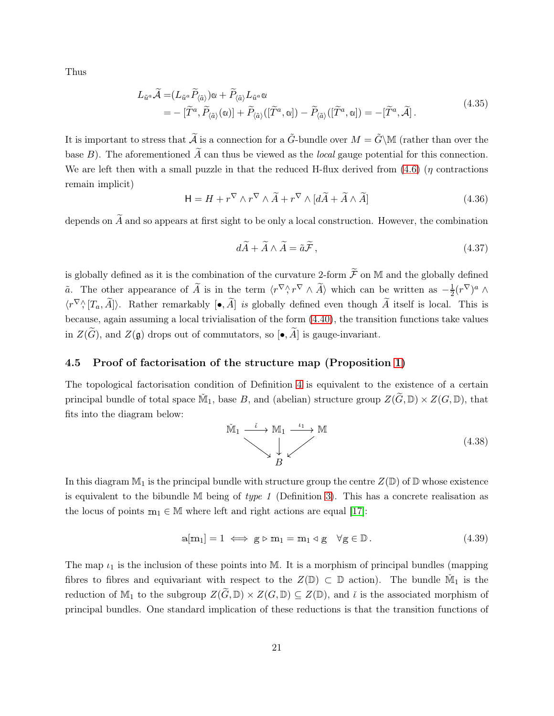Thus

$$
L_{\tilde{u}^a} \tilde{\mathcal{A}} = (L_{\tilde{u}^a} \tilde{P}_{\langle \tilde{a} \rangle}) \mathfrak{v} + \tilde{P}_{\langle \tilde{a} \rangle} L_{\tilde{u}^a} \mathfrak{v}
$$
  
= -\left[ \tilde{T}^a, \tilde{P}\_{\langle \tilde{a} \rangle}(\mathfrak{w}) \right] + \tilde{P}\_{\langle \tilde{a} \rangle}([\tilde{T}^a, \mathfrak{w}]) - \tilde{P}\_{\langle \tilde{a} \rangle}([\tilde{T}^a, \mathfrak{w}]) = -[\tilde{T}^a, \tilde{\mathcal{A}}]. \tag{4.35}

It is important to stress that  $\tilde{A}$  is a connection for a  $\tilde{G}$ -bundle over  $M = \tilde{G} \backslash M$  (rather than over the base B). The aforementioned  $\widetilde{A}$  can thus be viewed as the *local* gauge potential for this connection. We are left then with a small puzzle in that the reduced H-flux derived from  $(4.6)$  ( $\eta$  contractions remain implicit)

<span id="page-21-2"></span>
$$
\mathsf{H} = H + r^{\nabla} \wedge r^{\nabla} \wedge \widetilde{A} + r^{\nabla} \wedge [d\widetilde{A} + \widetilde{A} \wedge \widetilde{A}]
$$
\n(4.36)

depends on  $\widetilde{A}$  and so appears at first sight to be only a local construction. However, the combination

$$
d\widetilde{A} + \widetilde{A} \wedge \widetilde{A} = \widetilde{a}\widetilde{\mathcal{F}},\tag{4.37}
$$

is globally defined as it is the combination of the curvature 2-form  $\widetilde{\mathcal{F}}$  on M and the globally defined  $\tilde{a}$ . The other appearance of  $\tilde{A}$  is in the term  $\langle r^{\nabla} \wedge r^{\nabla} \wedge \tilde{A} \rangle$  which can be written as  $-\frac{1}{2}$  $\frac{1}{2}(r^\nabla)^a$   $\wedge$  $\langle r^{\nabla} \wedge [T_a, A] \rangle$ . Rather remarkably  $[\bullet, A]$  is globally defined even though A itself is local. This is because, again assuming a local trivialisation of the form [\(4.40\)](#page-22-0), the transition functions take values in  $Z(\widetilde{G})$ , and  $Z(\mathfrak{g})$  drops out of commutators, so  $\left[\bullet,\widetilde{A}\right]$  is gauge-invariant.

#### <span id="page-21-0"></span>4.5 Proof of factorisation of the structure map (Proposition [1\)](#page-18-0)

The topological factorisation condition of Definition [4](#page-17-1) is equivalent to the existence of a certain principal bundle of total space  $\check{M}_1$ , base B, and (abelian) structure group  $Z(\widetilde{G}, \mathbb{D}) \times Z(G, \mathbb{D})$ , that fits into the diagram below:

$$
\widetilde{M}_1 \xrightarrow{\widetilde{\iota}} M_1 \xrightarrow{\iota_1} M
$$
\n
$$
\downarrow \qquad (4.38)
$$

In this diagram  $M_1$  is the principal bundle with structure group the centre  $Z(\mathbb{D})$  of  $\mathbb D$  whose existence is equivalent to the bibundle  $M$  being of type 1 (Definition [3\)](#page-17-2). This has a concrete realisation as the locus of points  $m_1 \in M$  where left and right actions are equal [\[17\]](#page-38-3):

<span id="page-21-1"></span>
$$
a[m_1] = 1 \iff g \triangleright m_1 = m_1 \triangleleft g \quad \forall g \in \mathbb{D} \,. \tag{4.39}
$$

The map  $\iota_1$  is the inclusion of these points into M. It is a morphism of principal bundles (mapping fibres to fibres and equivariant with respect to the  $Z(\mathbb{D})\subset \mathbb{D}$  action). The bundle  $\check{M}_1$  is the reduction of M<sub>1</sub> to the subgroup  $Z(\widetilde{G}, \mathbb{D}) \times Z(G, \mathbb{D}) \subseteq Z(\mathbb{D})$ , and  $\widetilde{\iota}$  is the associated morphism of principal bundles. One standard implication of these reductions is that the transition functions of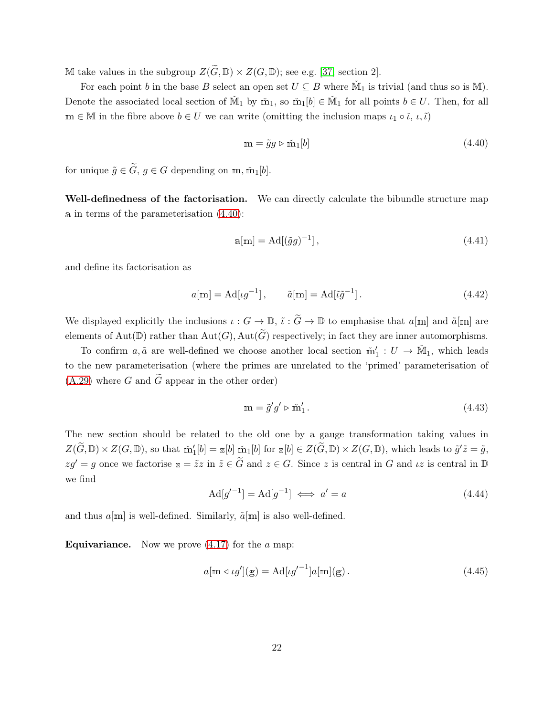M take values in the subgroup  $Z(\widetilde{G}, \mathbb{D}) \times Z(G, \mathbb{D})$ ; see e.g. [\[37,](#page-39-9) section 2].

For each point b in the base B select an open set  $U \subseteq B$  where  $\mathbb{M}_1$  is trivial (and thus so is  $\mathbb{M}$ ). Denote the associated local section of  $\mathbb{M}_1$  by  $\mathbb{m}_1$ , so  $\mathbb{m}_1[b] \in \mathbb{M}_1$  for all points  $b \in U$ . Then, for all  $m \in \mathbb{M}$  in the fibre above  $b \in U$  we can write (omitting the inclusion maps  $\iota_1 \circ \iota, \iota, \tilde{\iota}$ )

<span id="page-22-0"></span>
$$
\mathbf{m} = \tilde{g}g \triangleright \tilde{\mathbf{m}}_1[b] \tag{4.40}
$$

for unique  $\tilde{g} \in \tilde{G}$ ,  $g \in G$  depending on m,  $\tilde{m}_1[b]$ .

Well-definedness of the factorisation. We can directly calculate the bibundle structure map <sup>a</sup> in terms of the parameterisation [\(4.40\)](#page-22-0):

$$
a[m] = Ad[(\tilde{g}g)^{-1}], \qquad (4.41)
$$

and define its factorisation as

$$
a[\mathbf{m}] = \mathrm{Ad}[\iota g^{-1}], \qquad \tilde{a}[\mathbf{m}] = \mathrm{Ad}[\tilde{\iota}\tilde{g}^{-1}]. \tag{4.42}
$$

We displayed explicitly the inclusions  $\iota : G \to \mathbb{D}$ ,  $\tilde{\iota} : \tilde{G} \to \mathbb{D}$  to emphasise that  $a[m]$  and  $\tilde{a}[m]$  are elements of Aut( $\mathbb{D}$ ) rather than Aut( $G$ ), Aut( $\widetilde{G}$ ) respectively; in fact they are inner automorphisms.

To confirm  $a, \tilde{a}$  are well-defined we choose another local section  $\tilde{m}'_1 : U \to \tilde{M}_1$ , which leads to the new parameterisation (where the primes are unrelated to the 'primed' parameterisation of  $(A.29)$  where G and G appear in the other order)

$$
\mathbf{m} = \tilde{g}'g' \triangleright \tilde{\mathbf{m}}_1'.\tag{4.43}
$$

The new section should be related to the old one by a gauge transformation taking values in  $Z(\widetilde{G},\mathbb{D})\times Z(G,\mathbb{D})$ , so that  $\check{m}'_1[b]=\mathbb{Z}[b]\check{m}_1[b]$  for  $\mathbb{Z}[b]\in Z(\widetilde{G},\mathbb{D})\times Z(G,\mathbb{D})$ , which leads to  $\tilde{g}'\tilde{z}=\tilde{g}$ ,  $zg' = g$  once we factorise  $z = \tilde{z}z$  in  $\tilde{z} \in \tilde{G}$  and  $z \in G$ . Since z is central in G and  $iz$  is central in D we find

$$
Ad[g'^{-1}] = Ad[g^{-1}] \iff a' = a \tag{4.44}
$$

and thus  $a[m]$  is well-defined. Similarly,  $\tilde{a}[m]$  is also well-defined.

**Equivariance.** Now we prove  $(4.17)$  for the a map:

$$
a[\mathbf{m} \triangleleft \iota g'](\mathbf{g}) = \mathrm{Ad}[\iota g'^{-1}]a[\mathbf{m}](\mathbf{g}). \qquad (4.45)
$$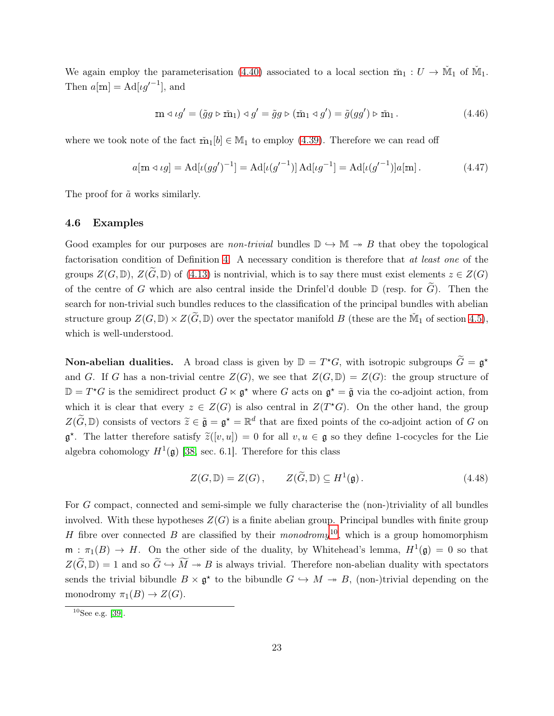We again employ the parameterisation [\(4.40\)](#page-22-0) associated to a local section  $\tilde{m}_1 : U \to \tilde{M}_1$  of  $\tilde{M}_1$ . Then  $a[m] = \text{Ad}[\iota g'^{-1}]$ , and

$$
\mathbf{m} \triangleleft \iota g' = (\tilde{g}g \triangleright \tilde{\mathbf{m}}_1) \triangleleft g' = \tilde{g}g \triangleright (\tilde{\mathbf{m}}_1 \triangleleft g') = \tilde{g}(gg') \triangleright \tilde{\mathbf{m}}_1. \tag{4.46}
$$

where we took note of the fact  $\tilde{m}_1[b] \in M_1$  to employ [\(4.39\)](#page-21-1). Therefore we can read off

$$
a[\mathbf{m} \triangleleft \iota g] = \mathrm{Ad}[\iota(gg')^{-1}] = \mathrm{Ad}[\iota(g'^{-1})] \,\mathrm{Ad}[\iota g^{-1}] = \mathrm{Ad}[\iota(g'^{-1})]a[\mathbf{m}].\tag{4.47}
$$

<span id="page-23-0"></span>The proof for  $\tilde{a}$  works similarly.

#### 4.6 Examples

Good examples for our purposes are *non-trivial* bundles  $\mathbb{D} \hookrightarrow \mathbb{M} \twoheadrightarrow B$  that obey the topological factorisation condition of Definition [4.](#page-17-1) A necessary condition is therefore that at least one of the groups  $Z(G, \mathbb{D})$ ,  $Z(\widetilde{G}, \mathbb{D})$  of [\(4.13\)](#page-17-3) is nontrivial, which is to say there must exist elements  $z \in Z(G)$ of the centre of G which are also central inside the Drinfel'd double  $\mathbb D$  (resp. for  $\widetilde{G}$ ). Then the search for non-trivial such bundles reduces to the classification of the principal bundles with abelian structure group  $Z(G,\mathbb{D})\times Z(\widetilde{G},\mathbb{D})$  over the spectator manifold B (these are the  $\check{M}_1$  of section [4.5\)](#page-21-0), which is well-understood.

**Non-abelian dualities.** A broad class is given by  $\mathbb{D} = T^*G$ , with isotropic subgroups  $\tilde{G} = \mathfrak{g}^*$ and G. If G has a non-trivial centre  $Z(G)$ , we see that  $Z(G,\mathbb{D})=Z(G)$ : the group structure of  $\mathbb{D} = T^{\star}G$  is the semidirect product  $G \ltimes \mathfrak{g}^{\star}$  where G acts on  $\mathfrak{g}^{\star} = \tilde{\mathfrak{g}}$  via the co-adjoint action, from which it is clear that every  $z \in Z(G)$  is also central in  $Z(T^*G)$ . On the other hand, the group  $Z(\tilde{G}, \mathbb{D})$  consists of vectors  $\tilde{z} \in \tilde{\mathfrak{g}} = \mathfrak{g}^* = \mathbb{R}^d$  that are fixed points of the co-adjoint action of G on  $\mathfrak{g}^*$ . The latter therefore satisfy  $\tilde{z}([v, u]) = 0$  for all  $v, u \in \mathfrak{g}$  so they define 1-cocycles for the Lie algebra cohomology  $H^1(\mathfrak{g})$  [\[38,](#page-39-10) sec. 6.1]. Therefore for this class

$$
Z(G,\mathbb{D}) = Z(G), \qquad Z(\widetilde{G},\mathbb{D}) \subseteq H^1(\mathfrak{g}). \tag{4.48}
$$

For G compact, connected and semi-simple we fully characterise the (non-)triviality of all bundles involved. With these hypotheses  $Z(G)$  is a finite abelian group. Principal bundles with finite group H fibre over connected B are classified by their monodromy<sup>[10](#page-23-1)</sup>, which is a group homomorphism  $m : \pi_1(B) \to H$ . On the other side of the duality, by Whitehead's lemma,  $H^1(\mathfrak{g}) = 0$  so that  $Z(\widetilde{G},\mathbb{D})=1$  and so  $\widetilde{G}\hookrightarrow \widetilde{M}\twoheadrightarrow B$  is always trivial. Therefore non-abelian duality with spectators sends the trivial bibundle  $B \times \mathfrak{g}^*$  to the bibundle  $G \hookrightarrow M \twoheadrightarrow B$ , (non-)trivial depending on the monodromy  $\pi_1(B) \to Z(G)$ .

<span id="page-23-1"></span> $10$ See e.g. [\[39\]](#page-39-11).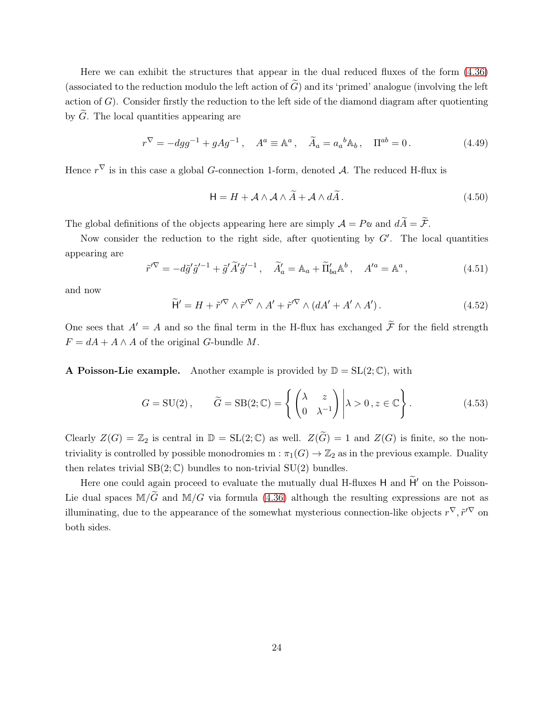Here we can exhibit the structures that appear in the dual reduced fluxes of the form [\(4.36\)](#page-21-2) (associated to the reduction modulo the left action of  $\tilde{G}$ ) and its 'primed' analogue (involving the left action of  $G$ ). Consider firstly the reduction to the left side of the diamond diagram after quotienting by  $\tilde{G}$ . The local quantities appearing are

$$
r^{\nabla} = -dgg^{-1} + gAg^{-1}, \quad A^a \equiv \mathbb{A}^a, \quad \tilde{A}_a = a_a{}^b \mathbb{A}_b, \quad \Pi^{ab} = 0. \tag{4.49}
$$

Hence  $r^{\nabla}$  is in this case a global *G*-connection 1-form, denoted *A*. The reduced H-flux is

$$
\mathsf{H} = H + \mathcal{A} \wedge \mathcal{A} \wedge \widetilde{A} + \mathcal{A} \wedge d\widetilde{A}.
$$
 (4.50)

The global definitions of the objects appearing here are simply  $\mathcal{A} = P\alpha$  and  $d\widetilde{A} = \widetilde{\mathcal{F}}$ .

Now consider the reduction to the right side, after quotienting by  $G'$ . The local quantities appearing are

$$
\tilde{r}'^{\nabla} = -d\tilde{g}'\tilde{g}'^{-1} + \tilde{g}'\tilde{A}'\tilde{g}'^{-1}, \quad \tilde{A}'_a = \mathbb{A}_a + \tilde{\Pi}'_{ba}\mathbb{A}^b, \quad A'^a = \mathbb{A}^a,
$$
\n(4.51)

and now

$$
\widetilde{H}' = H + \widetilde{r}'^{\nabla} \wedge \widetilde{r}'^{\nabla} \wedge A' + \widetilde{r}'^{\nabla} \wedge (dA' + A' \wedge A'). \tag{4.52}
$$

One sees that  $A' = A$  and so the final term in the H-flux has exchanged  $\widetilde{\mathcal{F}}$  for the field strength  $F = dA + A \wedge A$  of the original G-bundle M.

A Poisson-Lie example. Another example is provided by  $\mathbb{D} = SL(2;\mathbb{C})$ , with

$$
G = \text{SU}(2), \qquad \widetilde{G} = \text{SB}(2; \mathbb{C}) = \left\{ \begin{pmatrix} \lambda & z \\ 0 & \lambda^{-1} \end{pmatrix} \middle| \lambda > 0, z \in \mathbb{C} \right\}.
$$
 (4.53)

Clearly  $Z(G) = \mathbb{Z}_2$  is central in  $\mathbb{D} = SL(2;\mathbb{C})$  as well.  $Z(\widetilde{G}) = 1$  and  $Z(G)$  is finite, so the nontriviality is controlled by possible monodromies  $m : \pi_1(G) \to \mathbb{Z}_2$  as in the previous example. Duality then relates trivial  $SB(2;\mathbb{C})$  bundles to non-trivial  $SU(2)$  bundles.

Here one could again proceed to evaluate the mutually dual H-fluxes  $H$  and  $\tilde{H}'$  on the Poisson-Lie dual spaces  $\mathbb{M}/\tilde{G}$  and  $\mathbb{M}/G$  via formula [\(4.36\)](#page-21-2) although the resulting expressions are not as illuminating, due to the appearance of the somewhat mysterious connection-like objects  $r^{\nabla}, \tilde{r}'^{\nabla}$  on both sides.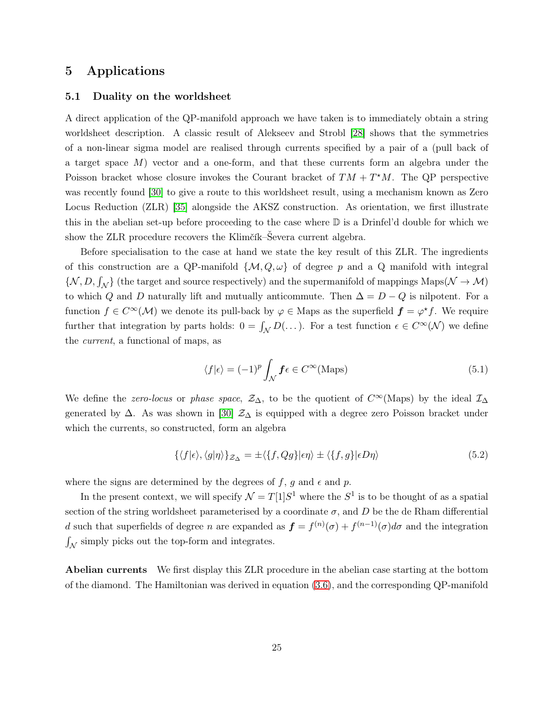### <span id="page-25-1"></span><span id="page-25-0"></span>5 Applications

#### 5.1 Duality on the worldsheet

A direct application of the QP-manifold approach we have taken is to immediately obtain a string worldsheet description. A classic result of Alekseev and Strobl [\[28\]](#page-39-0) shows that the symmetries of a non-linear sigma model are realised through currents specified by a pair of a (pull back of a target space M) vector and a one-form, and that these currents form an algebra under the Poisson bracket whose closure invokes the Courant bracket of  $TM + T^*M$ . The QP perspective was recently found [\[30\]](#page-39-2) to give a route to this worldsheet result, using a mechanism known as Zero Locus Reduction (ZLR) [\[35\]](#page-39-7) alongside the AKSZ construction. As orientation, we first illustrate this in the abelian set-up before proceeding to the case where  $\mathbb D$  is a Drinfel'd double for which we show the ZLR procedure recovers the Klimčík–Ševera current algebra.

Before specialisation to the case at hand we state the key result of this ZLR. The ingredients of this construction are a QP-manifold  $\{\mathcal{M}, Q, \omega\}$  of degree p and a Q manifold with integral  $\{\mathcal{N}, D, \int_{\mathcal{N}}\}$  (the target and source respectively) and the supermanifold of mappings  $\mathrm{Maps}(\mathcal{N} \to \mathcal{M})$ to which Q and D naturally lift and mutually anticommute. Then  $\Delta = D - Q$  is nilpotent. For a function  $f \in C^{\infty}(\mathcal{M})$  we denote its pull-back by  $\varphi \in M$ aps as the superfield  $\boldsymbol{f} = \varphi^* f$ . We require further that integration by parts holds:  $0 = \int_{\mathcal{N}} D(\dots)$ . For a test function  $\epsilon \in C^{\infty}(\mathcal{N})$  we define the current, a functional of maps, as

<span id="page-25-3"></span>
$$
\langle f|\epsilon\rangle = (-1)^p \int_{\mathcal{N}} \mathbf{f}\epsilon \in C^{\infty}(\text{Maps})
$$
\n(5.1)

We define the *zero-locus* or phase space,  $\mathcal{Z}_\Delta$ , to be the quotient of  $C^\infty$ (Maps) by the ideal  $\mathcal{I}_\Delta$ generated by  $\Delta$ . As was shown in [\[30\]](#page-39-2)  $\mathcal{Z}_{\Delta}$  is equipped with a degree zero Poisson bracket under which the currents, so constructed, form an algebra

<span id="page-25-2"></span>
$$
\{\langle f|\epsilon\rangle, \langle g|\eta\rangle\}_{\mathcal{Z}_{\Delta}} = \pm \langle \{f, Qg\}|\epsilon\eta\rangle \pm \langle \{f, g\}|\epsilon D\eta\rangle \tag{5.2}
$$

where the signs are determined by the degrees of f, g and  $\epsilon$  and p.

In the present context, we will specify  $\mathcal{N} = T[1]S^1$  where the  $S^1$  is to be thought of as a spatial section of the string worldsheet parameterised by a coordinate  $\sigma$ , and D be the de Rham differential d such that superfields of degree n are expanded as  $\mathbf{f} = f^{(n)}(\sigma) + f^{(n-1)}(\sigma) d\sigma$  and the integration  $\int_{\mathcal{N}}$  simply picks out the top-form and integrates.

Abelian currents We first display this ZLR procedure in the abelian case starting at the bottom of the diamond. The Hamiltonian was derived in equation [\(3.6\)](#page-10-3), and the corresponding QP-manifold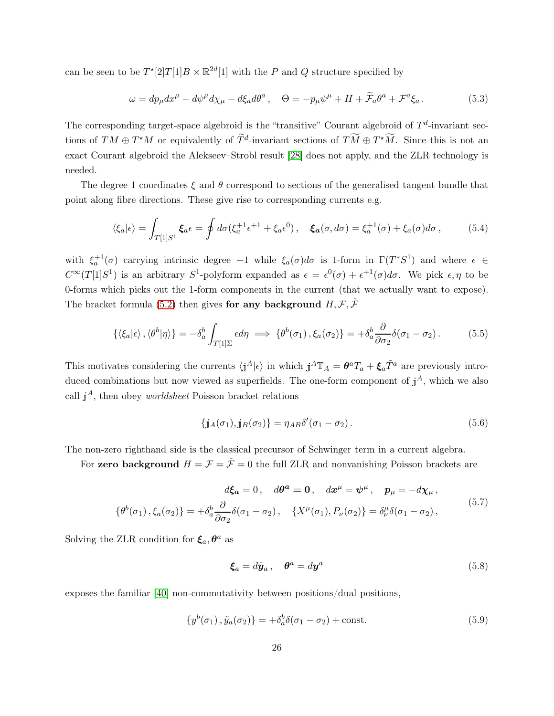can be seen to be  $T^*[2]T[1]B \times \mathbb{R}^{2d}[1]$  with the P and Q structure specified by

$$
\omega = dp_{\mu} dx^{\mu} - d\psi^{\mu} d\chi_{\mu} - d\xi_{a} d\theta^{a} , \quad \Theta = -p_{\mu} \psi^{\mu} + H + \widetilde{\mathcal{F}}_{a} \theta^{a} + \mathcal{F}^{a} \xi_{a} . \tag{5.3}
$$

The corresponding target-space algebroid is the "transitive" Courant algebroid of  $T<sup>d</sup>$ -invariant sections of  $TM \oplus T^*M$  or equivalently of  $\widetilde{T}^d$ -invariant sections of  $T\widetilde{M} \oplus T^*\widetilde{M}$ . Since this is not an exact Courant algebroid the Alekseev–Strobl result [\[28\]](#page-39-0) does not apply, and the ZLR technology is needed.

The degree 1 coordinates  $\xi$  and  $\theta$  correspond to sections of the generalised tangent bundle that point along fibre directions. These give rise to corresponding currents e.g.

$$
\langle \xi_a | \epsilon \rangle = \int_{T[1]S^1} \xi_a \epsilon = \oint d\sigma (\xi_a^{+1} \epsilon^{+1} + \xi_a \epsilon^0), \quad \xi_a(\sigma, d\sigma) = \xi_a^{+1}(\sigma) + \xi_a(\sigma) d\sigma, \tag{5.4}
$$

with  $\xi_a^{+1}(\sigma)$  carrying intrinsic degree  $+1$  while  $\xi_a(\sigma)d\sigma$  is 1-form in  $\Gamma(T^*S^1)$  and where  $\epsilon \in$  $C^{\infty}(T[1]S^1)$  is an arbitrary  $S^1$ -polyform expanded as  $\epsilon = \epsilon^0(\sigma) + \epsilon^{+1}(\sigma)d\sigma$ . We pick  $\epsilon, \eta$  to be 0-forms which picks out the 1-form components in the current (that we actually want to expose). The bracket formula [\(5.2\)](#page-25-2) then gives for any background  $H, \mathcal{F}, \tilde{\mathcal{F}}$ 

$$
\{\langle \xi_a | \epsilon \rangle, \langle \theta^b | \eta \rangle\} = -\delta_a^b \int_{T[1]\Sigma} \epsilon d\eta \implies \{\theta^b(\sigma_1), \xi_a(\sigma_2)\} = +\delta_a^b \frac{\partial}{\partial \sigma_2} \delta(\sigma_1 - \sigma_2). \tag{5.5}
$$

This motivates considering the currents  $\langle j^A|\epsilon\rangle$  in which  $j^A \mathbb{T}_A = \theta^a T_a + \xi_a \tilde{T}^a$  are previously introduced combinations but now viewed as superfields. The one-form component of  $j^A$ , which we also call  $j^A$ , then obey *worldsheet* Poisson bracket relations

$$
\{\mathbf{j}_A(\sigma_1), \mathbf{j}_B(\sigma_2)\} = \eta_{AB} \delta'(\sigma_1 - \sigma_2). \tag{5.6}
$$

The non-zero righthand side is the classical precursor of Schwinger term in a current algebra.

For zero background  $H = \mathcal{F} = \tilde{\mathcal{F}} = 0$  the full ZLR and nonvanishing Poisson brackets are

$$
d\xi_a = 0, \quad d\theta^a = 0, \quad dx^\mu = \psi^\mu, \quad p_\mu = -d\chi_\mu,
$$
  

$$
\{\theta^b(\sigma_1), \xi_a(\sigma_2)\} = +\delta_a^b \frac{\partial}{\partial \sigma_2} \delta(\sigma_1 - \sigma_2), \quad \{X^\mu(\sigma_1), P_\nu(\sigma_2)\} = \delta_\nu^\mu \delta(\sigma_1 - \sigma_2), \tag{5.7}
$$

Solving the ZLR condition for  $\xi_a, \theta^a$  as

$$
\boldsymbol{\xi}_a = d\tilde{\boldsymbol{y}}_a \,, \quad \boldsymbol{\theta}^a = d\boldsymbol{y}^a \tag{5.8}
$$

exposes the familiar [\[40\]](#page-39-12) non-commutativity between positions/dual positions,

$$
\{y^{b}(\sigma_1), \tilde{y}_a(\sigma_2)\} = +\delta_a^b \delta(\sigma_1 - \sigma_2) + \text{const.}
$$
\n
$$
(5.9)
$$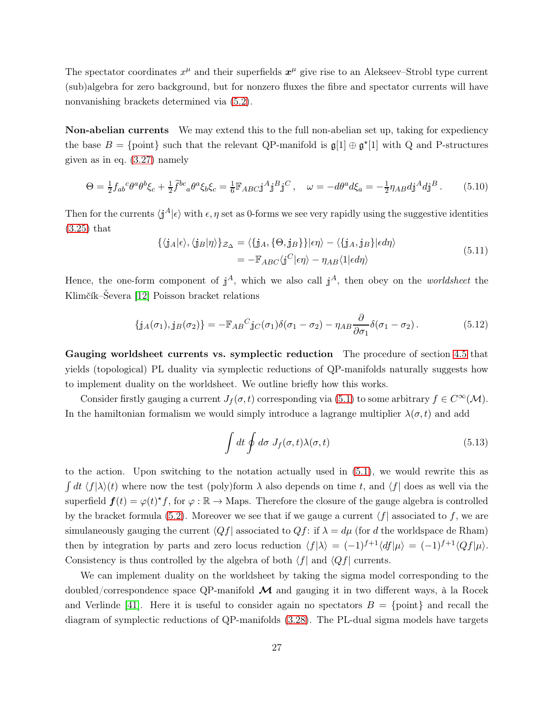The spectator coordinates  $x^{\mu}$  and their superfields  $x^{\mu}$  give rise to an Alekseev–Strobl type current (sub)algebra for zero background, but for nonzero fluxes the fibre and spectator currents will have nonvanishing brackets determined via [\(5.2\)](#page-25-2).

Non-abelian currents We may extend this to the full non-abelian set up, taking for expediency the base  $B = \{\text{point}\}\$  such that the relevant QP-manifold is  $\mathfrak{g}[1] \oplus \mathfrak{g}^*[1]$  with Q and P-structures given as in eq. [\(3.27\)](#page-14-1) namely

$$
\Theta = \frac{1}{2} f_{ab}{}^c \theta^a \theta^b \xi_c + \frac{1}{2} \tilde{f}^{bc}{}_a \theta^a \xi_b \xi_c = \frac{1}{6} \mathbb{F}_{ABC} \mathbf{j}^A \mathbf{j}^B \mathbf{j}^C \,, \quad \omega = -d\theta^a d\xi_a = -\frac{1}{2} \eta_{AB} d\mathbf{j}^A d\mathbf{j}^B \,. \tag{5.10}
$$

Then for the currents  $\langle j^A|\epsilon\rangle$  with  $\epsilon$ ,  $\eta$  set as 0-forms we see very rapidly using the suggestive identities [\(3.25\)](#page-13-3) that

$$
\{\langle j_A|\epsilon\rangle, \langle j_B|\eta\rangle\}_{\mathcal{Z}_{\Delta}} = \langle \{j_A, \{\Theta, j_B\}\}|\epsilon \eta\rangle - \langle \{j_A, j_B\}|\epsilon d\eta\rangle
$$
  
= 
$$
-\mathbb{F}_{ABC}\langle j^C|\epsilon \eta\rangle - \eta_{AB}\langle 1|\epsilon d\eta\rangle
$$
 (5.11)

Hence, the one-form component of  $j^A$ , which we also call  $j^A$ , then obey on the *worldsheet* the Klimčík–Ševera [\[12\]](#page-37-8) Poisson bracket relations

$$
\{\mathbf{j}_A(\sigma_1), \mathbf{j}_B(\sigma_2)\} = -\mathbb{F}_{AB}{}^C \mathbf{j}_C(\sigma_1) \delta(\sigma_1 - \sigma_2) - \eta_{AB} \frac{\partial}{\partial \sigma_1} \delta(\sigma_1 - \sigma_2). \tag{5.12}
$$

Gauging worldsheet currents vs. symplectic reduction The procedure of section [4.5](#page-21-0) that yields (topological) PL duality via symplectic reductions of QP-manifolds naturally suggests how to implement duality on the worldsheet. We outline briefly how this works.

Consider firstly gauging a current  $J_f(\sigma, t)$  corresponding via [\(5.1\)](#page-25-3) to some arbitrary  $f \in C^{\infty}(\mathcal{M})$ . In the hamiltonian formalism we would simply introduce a lagrange multiplier  $\lambda(\sigma, t)$  and add

$$
\int dt \oint d\sigma J_f(\sigma, t) \lambda(\sigma, t) \tag{5.13}
$$

to the action. Upon switching to the notation actually used in [\(5.1\)](#page-25-3), we would rewrite this as  $\int dt \langle f | \lambda \rangle(t)$  where now the test (poly)form  $\lambda$  also depends on time t, and  $\langle f |$  does as well via the superfield  $f(t) = \varphi(t)^* f$ , for  $\varphi : \mathbb{R} \to \text{Maps}$ . Therefore the closure of the gauge algebra is controlled by the bracket formula [\(5.2\)](#page-25-2). Moreover we see that if we gauge a current  $\langle f|$  associated to f, we are simulaneously gauging the current  $\langle Qf|$  associated to  $Qf$ : if  $\lambda = d\mu$  (for d the worldspace de Rham) then by integration by parts and zero locus reduction  $\langle f|\lambda \rangle = (-1)^{f+1}\langle df|\mu \rangle = (-1)^{f+1}\langle Qf|\mu \rangle$ . Consistency is thus controlled by the algebra of both  $\langle f |$  and  $\langle Qf |$  currents.

We can implement duality on the worldsheet by taking the sigma model corresponding to the doubled/correspondence space QP-manifold  $\mathcal M$  and gauging it in two different ways, à la Rocek and Verlinde [\[41\]](#page-39-13). Here it is useful to consider again no spectators  $B = \{\text{point}\}\$ and recall the diagram of symplectic reductions of QP-manifolds [\(3.28\)](#page-14-0). The PL-dual sigma models have targets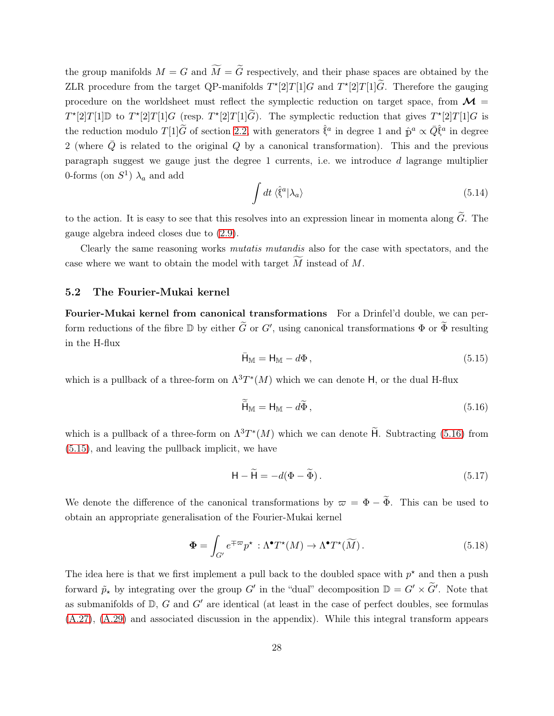the group manifolds  $M = G$  and  $\widetilde{M} = \widetilde{G}$  respectively, and their phase spaces are obtained by the ZLR procedure from the target QP-manifolds  $T^*[2]T[1]G$  and  $T^*[2]T[1]\tilde{G}$ . Therefore the gauging procedure on the worldsheet must reflect the symplectic reduction on target space, from  $\mathcal{M} =$  $T^{*}[2]T[1]\mathbb{D}$  to  $T^{*}[2]T[1]G$  (resp.  $T^{*}[2]T[1]\tilde{G}$ ). The symplectic reduction that gives  $T^{*}[2]T[1]G$  is the reduction modulo  $T[1]\tilde{G}$  of section [2.2,](#page-7-0) with generators  $\hat{\xi}^a$  in degree 1 and  $\hat{p}^a \propto \bar{Q}\hat{\xi}^a$  in degree 2 (where  $\overline{Q}$  is related to the original Q by a canonical transformation). This and the previous paragraph suggest we gauge just the degree 1 currents, i.e. we introduce  $d$  lagrange multiplier 0-forms (on  $S^1$ )  $\lambda_a$  and add

$$
\int dt \langle \hat{\xi}^a | \lambda_a \rangle \tag{5.14}
$$

to the action. It is easy to see that this resolves into an expression linear in momenta along  $\tilde{G}$ . The gauge algebra indeed closes due to [\(2.9\)](#page-7-3).

Clearly the same reasoning works *mutatis mutandis* also for the case with spectators, and the case where we want to obtain the model with target  $\overline{M}$  instead of  $M$ .

#### <span id="page-28-0"></span>5.2 The Fourier-Mukai kernel

Fourier-Mukai kernel from canonical transformations For a Drinfel'd double, we can perform reductions of the fibre  $\mathbb D$  by either  $\tilde G$  or  $G'$ , using canonical transformations  $\Phi$  or  $\tilde \Phi$  resulting in the H-flux

<span id="page-28-2"></span>
$$
\bar{\mathsf{H}}_{\mathbb{M}} = \mathsf{H}_{\mathbb{M}} - d\Phi, \qquad (5.15)
$$

which is a pullback of a three-form on  $\Lambda^3 T^*(M)$  which we can denote H, or the dual H-flux

<span id="page-28-1"></span>
$$
\widetilde{\mathsf{H}}_{\mathbb{M}} = \mathsf{H}_{\mathbb{M}} - d\widetilde{\Phi},\tag{5.16}
$$

which is a pullback of a three-form on  $\Lambda^3 T^*(M)$  which we can denote  $\widetilde{H}$ . Subtracting [\(5.16\)](#page-28-1) from [\(5.15\)](#page-28-2), and leaving the pullback implicit, we have

<span id="page-28-3"></span>
$$
\mathsf{H} - \widetilde{\mathsf{H}} = -d(\Phi - \widetilde{\Phi}).\tag{5.17}
$$

We denote the difference of the canonical transformations by  $\varpi = \Phi - \tilde{\Phi}$ . This can be used to obtain an appropriate generalisation of the Fourier-Mukai kernel

<span id="page-28-4"></span>
$$
\Phi = \int_{G'} e^{\mp \varpi} p^{\star} : \Lambda^{\bullet} T^{\star}(M) \to \Lambda^{\bullet} T^{\star}(\widetilde{M}). \tag{5.18}
$$

The idea here is that we first implement a pull back to the doubled space with  $p^*$  and then a push forward  $\tilde{p}_{\star}$  by integrating over the group G' in the "dual" decomposition  $\mathbb{D} = G' \times \tilde{G}'$ . Note that as submanifolds of  $D$ ,  $G$  and  $G'$  are identical (at least in the case of perfect doubles, see formulas [\(A.27\)](#page-36-1), [\(A.29\)](#page-36-0) and associated discussion in the appendix). While this integral transform appears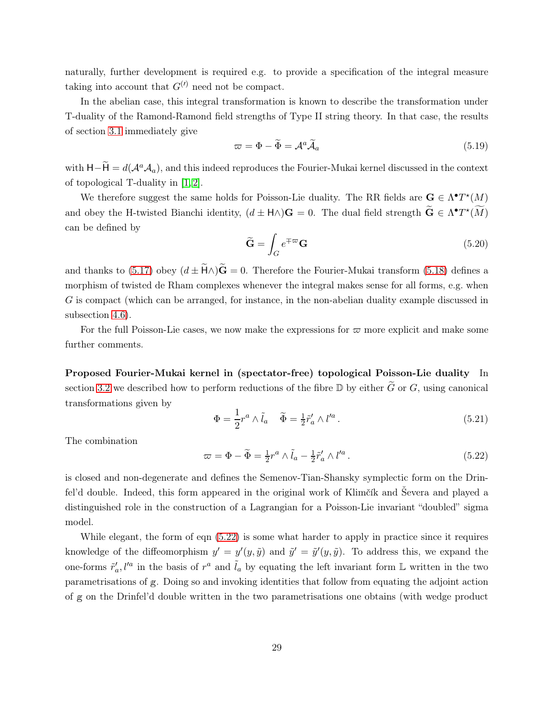naturally, further development is required e.g. to provide a specification of the integral measure taking into account that  $G^{(l)}$  need not be compact.

In the abelian case, this integral transformation is known to describe the transformation under T-duality of the Ramond-Ramond field strengths of Type II string theory. In that case, the results of section [3.1](#page-9-1) immediately give

$$
\varpi = \Phi - \widetilde{\Phi} = \mathcal{A}^a \widetilde{\mathcal{A}}_a \tag{5.19}
$$

with  $H-\dot{H}=d(\mathcal{A}^a\mathcal{A}_a)$ , and this indeed reproduces the Fourier-Mukai kernel discussed in the context of topological T-duality in [\[1,](#page-37-0) [2\]](#page-37-1).

We therefore suggest the same holds for Poisson-Lie duality. The RR fields are  $G \in \Lambda^{\bullet}T^{*}(M)$ and obey the H-twisted Bianchi identity,  $(d \pm H \wedge)G = 0$ . The dual field strength  $\widetilde{G} \in \Lambda^{\bullet}T^{\star}(\widetilde{M})$ can be defined by

$$
\widetilde{\mathbf{G}} = \int_{G} e^{\mp \varpi} \mathbf{G} \tag{5.20}
$$

and thanks to [\(5.17\)](#page-28-3) obey  $(d \pm \tilde{H} \wedge) \tilde{G} = 0$ . Therefore the Fourier-Mukai transform [\(5.18\)](#page-28-4) defines a morphism of twisted de Rham complexes whenever the integral makes sense for all forms, e.g. when G is compact (which can be arranged, for instance, in the non-abelian duality example discussed in subsection [4.6\)](#page-23-0).

For the full Poisson-Lie cases, we now make the expressions for  $\varpi$  more explicit and make some further comments.

Proposed Fourier-Mukai kernel in (spectator-free) topological Poisson-Lie duality In section [3.2](#page-10-0) we described how to perform reductions of the fibre  $\mathbb D$  by either  $\widetilde{G}$  or  $G$ , using canonical transformations given by

$$
\Phi = \frac{1}{2}r^a \wedge \tilde{l}_a \quad \tilde{\Phi} = \frac{1}{2}\tilde{r}'_a \wedge l'^a.
$$
\n(5.21)

The combination

<span id="page-29-0"></span>
$$
\varpi = \Phi - \widetilde{\Phi} = \frac{1}{2}r^a \wedge \widetilde{l}_a - \frac{1}{2}\widetilde{r}_a' \wedge l'^a.
$$
\n(5.22)

is closed and non-degenerate and defines the Semenov-Tian-Shansky symplectic form on the Drinfel'd double. Indeed, this form appeared in the original work of Klimčík and Ševera and played a distinguished role in the construction of a Lagrangian for a Poisson-Lie invariant "doubled" sigma model.

While elegant, the form of eqn [\(5.22\)](#page-29-0) is some what harder to apply in practice since it requires knowledge of the diffeomorphism  $y' = y'(y, \tilde{y})$  and  $\tilde{y}' = \tilde{y}'(y, \tilde{y})$ . To address this, we expand the one-forms  $\tilde{r}'_a$ ,  $l'^a$  in the basis of  $r^a$  and  $\tilde{l}_a$  by equating the left invariant form  $\mathbb L$  written in the two parametrisations of <sup>g</sup>. Doing so and invoking identities that follow from equating the adjoint action of <sup>g</sup> on the Drinfel'd double written in the two parametrisations one obtains (with wedge product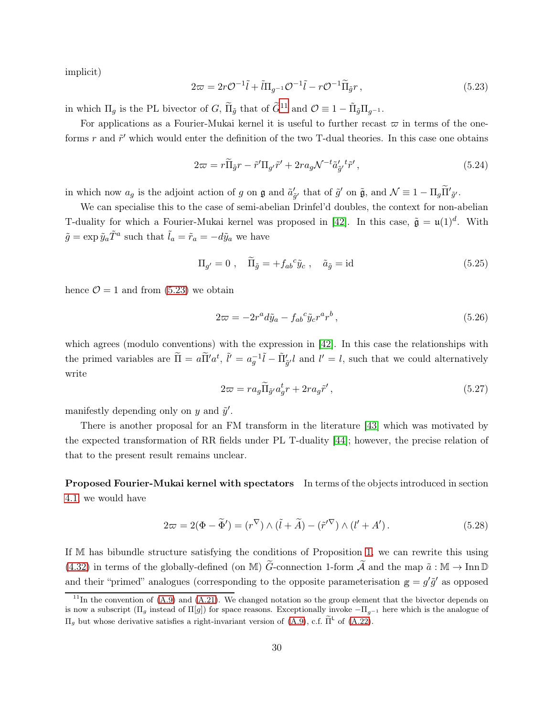implicit)

<span id="page-30-1"></span>
$$
2\varpi = 2r\mathcal{O}^{-1}\tilde{l} + \tilde{l}\Pi_{g^{-1}}\mathcal{O}^{-1}\tilde{l} - r\mathcal{O}^{-1}\tilde{\Pi}_{\tilde{g}}r, \qquad (5.23)
$$

in which  $\Pi_g$  is the PL bivector of G,  $\widetilde{\Pi}_{\tilde{g}}$  that of  $\widetilde{G}^{11}$  $\widetilde{G}^{11}$  $\widetilde{G}^{11}$  and  $\mathcal{O} \equiv 1 - \widetilde{\Pi}_{\tilde{g}} \Pi_{g^{-1}}$ .

For applications as a Fourier-Mukai kernel it is useful to further recast  $\varpi$  in terms of the oneforms r and  $\tilde{r}'$  which would enter the definition of the two T-dual theories. In this case one obtains

$$
2\varpi = r\widetilde{\Pi}_{\tilde{g}}r - \tilde{r}'\Pi_{g'}\tilde{r}' + 2ra_{g}\mathcal{N}^{-t}\tilde{a}'_{\tilde{g}'}\tilde{r}',\tag{5.24}
$$

in which now  $a_g$  is the adjoint action of g on  $\mathfrak g$  and  $\tilde a'_{\tilde g'}$  that of  $\tilde g'$  on  $\tilde{\mathfrak g}$ , and  $\mathcal N \equiv 1 - \Pi_g \tilde{\Pi}'_{\tilde g'}$ .

We can specialise this to the case of semi-abelian Drinfel'd doubles, the context for non-abelian T-duality for which a Fourier-Mukai kernel was proposed in [\[42\]](#page-39-14). In this case,  $\tilde{\mathfrak{g}} = \mathfrak{u}(1)^d$ . With  $\tilde{g} = \exp \tilde{y}_a \tilde{T}^a$  such that  $\tilde{l}_a = \tilde{r}_a = -d\tilde{y}_a$  we have

$$
\Pi_{g'} = 0 \ , \quad \widetilde{\Pi}_{\tilde{g}} = +f_{ab}{}^c \tilde{y}_c \ , \quad \tilde{a}_{\tilde{g}} = id \tag{5.25}
$$

hence  $\mathcal{O}=1$  and from [\(5.23\)](#page-30-1) we obtain

$$
2\varpi = -2r^a d\tilde{y}_a - f_{ab}{}^c \tilde{y}_c r^a r^b, \qquad (5.26)
$$

which agrees (modulo conventions) with the expression in [\[42\]](#page-39-14). In this case the relationships with the primed variables are  $\tilde{\Pi} = a \tilde{\Pi}' a^t$ ,  $\tilde{l}' = a_g^{-1} \tilde{l} - \tilde{\Pi}'_{\tilde{g}'} l$  and  $l' = l$ , such that we could alternatively write

$$
2\varpi = ra_g \widetilde{\Pi}_{\tilde{g}'} a_g^t r + 2ra_g \tilde{r}',\tag{5.27}
$$

manifestly depending only on  $y$  and  $\tilde{y}'$ .

There is another proposal for an FM transform in the literature [\[43\]](#page-40-0) which was motivated by the expected transformation of RR fields under PL T-duality [\[44\]](#page-40-1); however, the precise relation of that to the present result remains unclear.

Proposed Fourier-Mukai kernel with spectators In terms of the objects introduced in section [4.1,](#page-15-1) we would have

$$
2\varpi = 2(\Phi - \widetilde{\Phi}') = (r^{\nabla}) \wedge (\widetilde{l} + \widetilde{A}) - (\widetilde{r}'^{\nabla}) \wedge (l' + A'). \tag{5.28}
$$

If M has bibundle structure satisfying the conditions of Proposition [1,](#page-18-0) we can rewrite this using [\(4.32\)](#page-20-2) in terms of the globally-defined (on M)  $\tilde{G}$ -connection 1-form  $\tilde{\mathcal{A}}$  and the map  $\tilde{a} : \mathbb{M} \to \text{Inn } \mathbb{D}$ and their "primed" analogues (corresponding to the opposite parameterisation  $g = g' \tilde{g}'$  as opposed

<span id="page-30-0"></span> $11$ In the convention of [\(A.9\)](#page-34-2) and [\(A.21\)](#page-35-3). We changed notation so the group element that the bivector depends on is now a subscript  $(\Pi_q$  instead of  $\Pi[q]$  for space reasons. Exceptionally invoke  $-\Pi_{q-1}$  here which is the analogue of  $\Pi_g$  but whose derivative satisfies a right-invariant version of [\(A.9\)](#page-34-2), c.f.  $\tilde{\Pi}^{\text{L}}$  of [\(A.22\)](#page-35-1).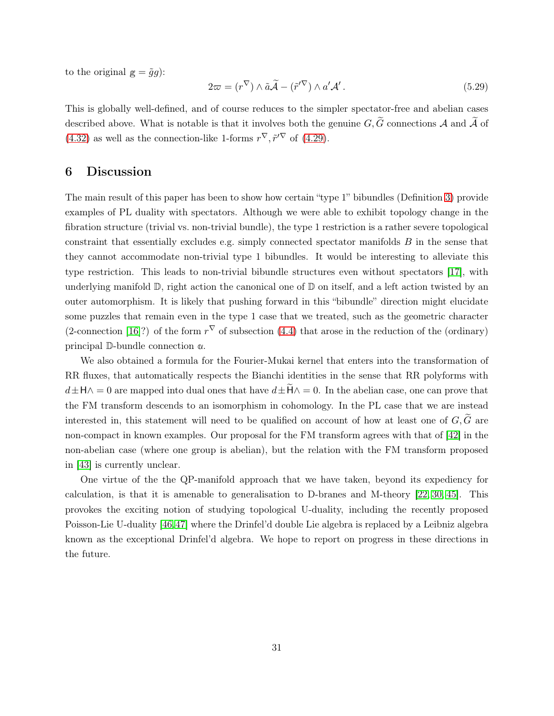to the original  $g = \tilde{g}g$ :

$$
2\varpi = (r^{\nabla}) \wedge \tilde{a}\tilde{\mathcal{A}} - (\tilde{r}'^{\nabla}) \wedge a'\mathcal{A}'. \qquad (5.29)
$$

This is globally well-defined, and of course reduces to the simpler spectator-free and abelian cases described above. What is notable is that it involves both the genuine  $G, \widetilde{G}$  connections A and  $\widetilde{A}$  of [\(4.32\)](#page-20-2) as well as the connection-like 1-forms  $r^{\nabla}, \tilde{r}'^{\nabla}$  of [\(4.29\)](#page-20-0).

### <span id="page-31-0"></span>6 Discussion

The main result of this paper has been to show how certain "type 1" bibundles (Definition [3\)](#page-17-2) provide examples of PL duality with spectators. Although we were able to exhibit topology change in the fibration structure (trivial vs. non-trivial bundle), the type 1 restriction is a rather severe topological constraint that essentially excludes e.g. simply connected spectator manifolds B in the sense that they cannot accommodate non-trivial type 1 bibundles. It would be interesting to alleviate this type restriction. This leads to non-trivial bibundle structures even without spectators [\[17\]](#page-38-3), with underlying manifold  $\mathbb{D}$ , right action the canonical one of  $\mathbb{D}$  on itself, and a left action twisted by an outer automorphism. It is likely that pushing forward in this "bibundle" direction might elucidate some puzzles that remain even in the type 1 case that we treated, such as the geometric character (2-connection [\[16\]](#page-38-14)?) of the form  $r^{\nabla}$  of subsection [\(4.4\)](#page-19-1) that arose in the reduction of the (ordinary) principal D-bundle connection **α**.

We also obtained a formula for the Fourier-Mukai kernel that enters into the transformation of RR fluxes, that automatically respects the Bianchi identities in the sense that RR polyforms with  $d\pm H\wedge = 0$  are mapped into dual ones that have  $d\pm \widetilde{H}\wedge = 0$ . In the abelian case, one can prove that the FM transform descends to an isomorphism in cohomology. In the PL case that we are instead interested in, this statement will need to be qualified on account of how at least one of  $G, \tilde{G}$  are non-compact in known examples. Our proposal for the FM transform agrees with that of [\[42\]](#page-39-14) in the non-abelian case (where one group is abelian), but the relation with the FM transform proposed in [\[43\]](#page-40-0) is currently unclear.

One virtue of the the QP-manifold approach that we have taken, beyond its expediency for calculation, is that it is amenable to generalisation to D-branes and M-theory [\[22,](#page-38-8) [30,](#page-39-2) [45\]](#page-40-2). This provokes the exciting notion of studying topological U-duality, including the recently proposed Poisson-Lie U-duality [\[46,](#page-40-3)[47\]](#page-40-4) where the Drinfel'd double Lie algebra is replaced by a Leibniz algebra known as the exceptional Drinfel'd algebra. We hope to report on progress in these directions in the future.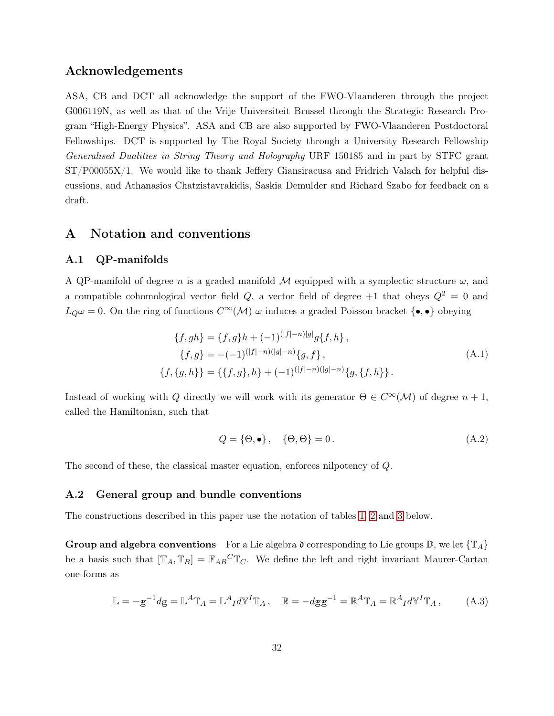### Acknowledgements

ASA, CB and DCT all acknowledge the support of the FWO-Vlaanderen through the project G006119N, as well as that of the Vrije Universiteit Brussel through the Strategic Research Program "High-Energy Physics". ASA and CB are also supported by FWO-Vlaanderen Postdoctoral Fellowships. DCT is supported by The Royal Society through a University Research Fellowship Generalised Dualities in String Theory and Holography URF 150185 and in part by STFC grant ST/P00055X/1. We would like to thank Jeffery Giansiracusa and Fridrich Valach for helpful discussions, and Athanasios Chatzistavrakidis, Saskia Demulder and Richard Szabo for feedback on a draft.

### <span id="page-32-1"></span><span id="page-32-0"></span>A Notation and conventions

#### A.1 QP-manifolds

A QP-manifold of degree n is a graded manifold M equipped with a symplectic structure  $\omega$ , and a compatible cohomological vector field  $Q$ , a vector field of degree  $+1$  that obeys  $Q^2 = 0$  and  $L_Q\omega = 0$ . On the ring of functions  $C^{\infty}(\mathcal{M})$   $\omega$  induces a graded Poisson bracket  $\{\bullet,\bullet\}$  obeying

$$
\{f, gh\} = \{f, g\}h + (-1)^{(|f|-n)|g|}g\{f, h\},
$$
  

$$
\{f, g\} = -(-1)^{(|f|-n)(|g|-n)}\{g, f\},
$$
  

$$
\{f, \{g, h\}\} = \{\{f, g\}, h\} + (-1)^{(|f|-n)(|g|-n)}\{g, \{f, h\}\}.
$$
 (A.1)

Instead of working with Q directly we will work with its generator  $\Theta \in C^{\infty}(\mathcal{M})$  of degree  $n + 1$ , called the Hamiltonian, such that

$$
Q = \{ \Theta, \bullet \}, \quad \{ \Theta, \Theta \} = 0. \tag{A.2}
$$

<span id="page-32-2"></span>The second of these, the classical master equation, enforces nilpotency of Q.

#### A.2 General group and bundle conventions

The constructions described in this paper use the notation of tables [1,](#page-33-0) [2](#page-33-1) and [3](#page-33-2) below.

Group and algebra conventions For a Lie algebra  $\mathfrak d$  corresponding to Lie groups  $\mathbb D$ , we let  $\{ \mathbb T_A \}$ be a basis such that  $[\mathbb{T}_A, \mathbb{T}_B] = \mathbb{F}_{AB}^C \mathbb{T}_C$ . We define the left and right invariant Maurer-Cartan one-forms as

$$
\mathbb{L} = -\mathbf{g}^{-1} d\mathbf{g} = \mathbb{L}^A \mathbb{T}_A = \mathbb{L}^A_I d\mathbb{Y}^I \mathbb{T}_A, \quad \mathbb{R} = -d\mathbf{g}\mathbf{g}^{-1} = \mathbb{R}^A \mathbb{T}_A = \mathbb{R}^A_I d\mathbb{Y}^I \mathbb{T}_A, \tag{A.3}
$$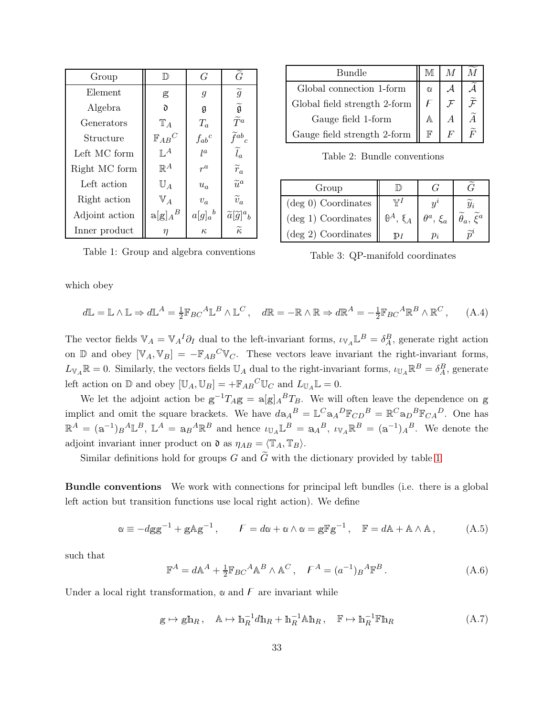| Group          | $\mathbb{D}$       | G            | $\widetilde{G}$                      |
|----------------|--------------------|--------------|--------------------------------------|
| Element        | g                  | 9            | $\widetilde{g}$                      |
| Algebra        | ð                  | g            | $\widetilde{\mathfrak{g}}$           |
| Generators     | $\mathbb{T}_A$     | $T_a$        | $\widetilde{T}^a$                    |
| Structure      | $\mathbb{F}_{AB}C$ | $f_{ab}{}^c$ | $\widetilde{f}^{ab}{}_c$             |
| Left MC form   | $\mathbb{L}^A$     | $l^{\alpha}$ | $\widetilde{l}_a$                    |
| Right MC form  | $\mathbb{R}^A$     | $r^a$        | $\widetilde{r}_a$                    |
| Left action    | $\mathbb{U}_A$     | $u_a$        | $\widetilde{u}^a$                    |
| Right action   | $V_A$              | $v_a$        | $\widetilde{v}_a$                    |
| Adjoint action | $a[g]_A{}^B$       | $a[g]_a{}^b$ | $\widetilde{a}[\widetilde{g}]^a{}_b$ |
| Inner product  | η                  | $\kappa$     | $\widetilde{\kappa}$                 |

| Bundle                                   |                 |  |
|------------------------------------------|-----------------|--|
| Global connection 1-form                 | $\alpha$        |  |
| Global field strength 2-form $\parallel$ |                 |  |
| Gauge field 1-form                       |                 |  |
| Gauge field strength 2-form              | $_{\mathbb{F}}$ |  |

<span id="page-33-1"></span>Table 2: Bundle conventions

| Group                         |                                        |                      |  |
|-------------------------------|----------------------------------------|----------------------|--|
| $(\text{deg } 0)$ Coordinates |                                        |                      |  |
| $(\text{deg } 1)$ Coordinates | $\mathbb{\theta}^A$ , $\mathfrak{e}_A$ | $\theta^a$ , $\xi_a$ |  |
| $(\text{deg } 2)$ Coordinates |                                        | D.                   |  |

<span id="page-33-0"></span>Table 1: Group and algebra conventions

<span id="page-33-2"></span>

|  | Table 3: QP-manifold coordinates |  |
|--|----------------------------------|--|
|--|----------------------------------|--|

which obey

$$
d\mathbb{L} = \mathbb{L} \wedge \mathbb{L} \Rightarrow d\mathbb{L}^A = \frac{1}{2} \mathbb{F}_{BC}{}^A \mathbb{L}^B \wedge \mathbb{L}^C, \quad d\mathbb{R} = -\mathbb{R} \wedge \mathbb{R} \Rightarrow d\mathbb{R}^A = -\frac{1}{2} \mathbb{F}_{BC}{}^A \mathbb{R}^B \wedge \mathbb{R}^C, \tag{A.4}
$$

The vector fields  $\mathbb{V}_A = \mathbb{V}_A^I \partial_I$  dual to the left-invariant forms,  $\iota_{\mathbb{V}_A} \mathbb{L}^B = \delta_A^B$ , generate right action on D and obey  $[\mathbb{V}_A, \mathbb{V}_B] = -\mathbb{F}_{AB}^C \mathbb{V}_C$ . These vectors leave invariant the right-invariant forms,  $L_{V_A} \mathbb{R} = 0$ . Similarly, the vectors fields  $\mathbb{U}_A$  dual to the right-invariant forms,  $\iota_{\mathbb{U}_A} \mathbb{R}^B = \delta_A^B$ , generate left action on  $\mathbb{D}$  and obey  $[\mathbb{U}_A, \mathbb{U}_B] = +\mathbb{F}_{AB}^C \mathbb{U}_C$  and  $L_{\mathbb{U}_A} \mathbb{L} = 0$ .

We let the adjoint action be  $g^{-1}T_Ag = a[g]_A{}^BT_B$ . We will often leave the dependence on g implict and omit the square brackets. We have  $d\mathbf{a}_A{}^B = \mathbb{L}^C \mathbf{a}_A{}^D \mathbb{F}_{CD}{}^B = \mathbb{R}^C \mathbf{a}_D{}^B \mathbb{F}_{CA}{}^D$ . One has  $\mathbb{R}^A = (\mathbb{a}^{-1})_B{}^A \mathbb{L}^B$ ,  $\mathbb{L}^A = \mathbb{a}_B{}^A \mathbb{R}^B$  and hence  $\iota_{\mathbb{U}_A} \mathbb{L}^B = \mathbb{a}_A{}^B$ ,  $\iota_{\mathbb{V}_A} \mathbb{R}^B = (\mathbb{a}^{-1})_A{}^B$ . We denote the adjoint invariant inner product on  $\mathfrak{d}$  as  $\eta_{AB} = \langle \mathbb{T}_A, \mathbb{T}_B \rangle$ .

Similar definitions hold for groups G and  $\tilde{G}$  with the dictionary provided by table [1](#page-33-0)

Bundle conventions We work with connections for principal left bundles (i.e. there is a global left action but transition functions use local right action). We define

$$
\alpha \equiv -dgg^{-1} + gAg^{-1}, \qquad F = d\alpha + \alpha \wedge \alpha = gFg^{-1}, \quad F = dA + A \wedge A, \qquad (A.5)
$$

such that

$$
\mathbb{F}^A = d\mathbb{A}^A + \frac{1}{2} \mathbb{F}_{BC}{}^A \mathbb{A}^B \wedge \mathbb{A}^C, \quad F^A = (a^{-1})_B{}^A \mathbb{F}^B. \tag{A.6}
$$

Under a local right transformation,  $\alpha$  and  $\beta$  are invariant while

$$
g \mapsto gh_R, \quad A \mapsto h_R^{-1}dh_R + h_R^{-1}Ah_R, \quad F \mapsto h_R^{-1}Fh_R \tag{A.7}
$$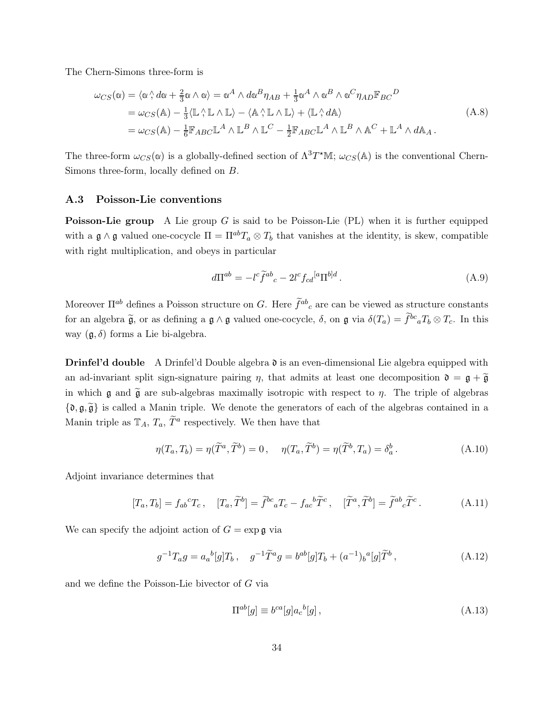The Chern-Simons three-form is

<span id="page-34-1"></span>
$$
\omega_{CS}(\alpha) = \langle \alpha \wedge d\alpha + \frac{2}{3}\alpha \wedge \alpha \rangle = \alpha^A \wedge d\alpha^B \eta_{AB} + \frac{1}{3}\alpha^A \wedge \alpha^B \wedge \alpha^C \eta_{AD} \mathbb{F}_{BC}^D
$$
  
\n
$$
= \omega_{CS}(\mathbb{A}) - \frac{1}{3} \langle \mathbb{L} \wedge \mathbb{L} \wedge \mathbb{L} \rangle - \langle \mathbb{A} \wedge \mathbb{L} \wedge \mathbb{L} \rangle + \langle \mathbb{L} \wedge d\mathbb{A} \rangle
$$
  
\n
$$
= \omega_{CS}(\mathbb{A}) - \frac{1}{6} \mathbb{F}_{ABC} \mathbb{L}^A \wedge \mathbb{L}^B \wedge \mathbb{L}^C - \frac{1}{2} \mathbb{F}_{ABC} \mathbb{L}^A \wedge \mathbb{L}^B \wedge \mathbb{A}^C + \mathbb{L}^A \wedge d\mathbb{A}_A.
$$
\n(A.8)

The three-form  $\omega_{CS}(\alpha)$  is a globally-defined section of  $\Lambda^3 T^*M$ ;  $\omega_{CS}(\mathbb{A})$  is the conventional Chern-Simons three-form, locally defined on B.

#### <span id="page-34-0"></span>A.3 Poisson-Lie conventions

**Poisson-Lie group** A Lie group G is said to be Poisson-Lie (PL) when it is further equipped with a  $\mathfrak{g} \wedge \mathfrak{g}$  valued one-cocycle  $\Pi = \Pi^{ab} T_a \otimes T_b$  that vanishes at the identity, is skew, compatible with right multiplication, and obeys in particular

<span id="page-34-2"></span>
$$
d\Pi^{ab} = -l^c \tilde{f}^{ab}{}_c - 2l^c f_{cd}^{[a} \Pi^{b]d} \,. \tag{A.9}
$$

Moreover  $\Pi^{ab}$  defines a Poisson structure on G. Here  $\tilde{f}^{ab}{}_{c}$  are can be viewed as structure constants for an algebra  $\tilde{\mathfrak{g}}$ , or as defining a  $\mathfrak{g} \wedge \mathfrak{g}$  valued one-cocycle,  $\delta$ , on  $\mathfrak{g}$  via  $\delta(T_a) = \tilde{f}^{bc}{}_a T_b \otimes T_c$ . In this way  $(\mathfrak{g}, \delta)$  forms a Lie bi-algebra.

**Drinfel'd double** A Drinfel'd Double algebra  $\mathfrak d$  is an even-dimensional Lie algebra equipped with an ad-invariant split sign-signature pairing  $\eta$ , that admits at least one decomposition  $\mathfrak{d} = \mathfrak{g} + \widetilde{\mathfrak{g}}$ in which  $\mathfrak g$  and  $\widetilde{\mathfrak g}$  are sub-algebras maximally isotropic with respect to  $\eta$ . The triple of algebras  $\{\mathfrak{d}, \mathfrak{g}, \widetilde{\mathfrak{g}}\}$  is called a Manin triple. We denote the generators of each of the algebras contained in a Manin triple as  $\mathbb{T}_A$ ,  $T_a$ ,  $\widetilde{T}^a$  respectively. We then have that

$$
\eta(T_a, T_b) = \eta(\widetilde{T}^a, \widetilde{T}^b) = 0, \quad \eta(T_a, \widetilde{T}^b) = \eta(\widetilde{T}^b, T_a) = \delta_a^b. \tag{A.10}
$$

Adjoint invariance determines that

$$
[T_a, T_b] = f_{ab}{}^c T_c, \quad [T_a, \widetilde{T}^b] = \widetilde{f}^{bc}{}_a T_c - f_{ac}{}^b \widetilde{T}^c, \quad [\widetilde{T}^a, \widetilde{T}^b] = \widetilde{f}^{ab}{}_c \widetilde{T}^c. \tag{A.11}
$$

We can specify the adjoint action of  $G = \exp \mathfrak{g}$  via

$$
g^{-1}T_a g = a_a{}^b[g]T_b, \quad g^{-1}\tilde{T}^a g = b^{ab}[g]T_b + (a^{-1})_b{}^a[g]\tilde{T}^b, \tag{A.12}
$$

and we define the Poisson-Lie bivector of G via

$$
\Pi^{ab}[g] \equiv b^{ca}[g]a_c{}^b[g] \,,\tag{A.13}
$$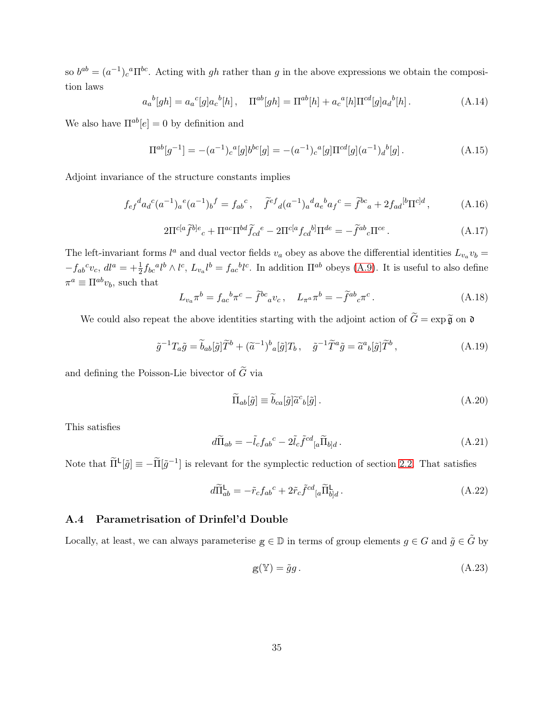so  $b^{ab} = (a^{-1})_c{}^a \Pi^{bc}$ . Acting with gh rather than g in the above expressions we obtain the composition laws

$$
a_a{}^b[gh] = a_a{}^c[g]a_c{}^b[h], \quad \Pi^{ab}[gh] = \Pi^{ab}[h] + a_c{}^a[h]\Pi^{cd}[g]a_d{}^b[h]. \tag{A.14}
$$

We also have  $\Pi^{ab}[e] = 0$  by definition and

$$
\Pi^{ab}[g^{-1}] = -(a^{-1})_c{}^a[g]b^{bc}[g] = -(a^{-1})_c{}^a[g]\Pi^{cd}[g](a^{-1})_d{}^b[g].
$$
\n(A.15)

Adjoint invariance of the structure constants implies

$$
f_{ef}{}^{d}a_{d}{}^{c}(a^{-1})_{a}{}^{e}(a^{-1})_{b}{}^{f} = f_{ab}{}^{c}, \quad \tilde{f}^{ef}{}_{d}(a^{-1})_{a}{}^{d}a_{e}{}^{b}a_{f}{}^{c} = \tilde{f}^{bc}{}_{a} + 2f_{ad}{}^{[b}\Pi^{c]d}, \tag{A.16}
$$

<span id="page-35-2"></span>
$$
2\Pi^{c[a}\widetilde{f}^{b]e}{}_{c} + \Pi^{ac}\Pi^{bd}\widetilde{f}_{cd}{}^{e} - 2\Pi^{c[a}f_{cd}{}^{b]}\Pi^{de} = -\widetilde{f}^{ab}{}_{c}\Pi^{ce}.
$$
\n(A.17)

The left-invariant forms  $l^a$  and dual vector fields  $v_a$  obey as above the differential identities  $L_{v_a}v_b =$  $-f_{ab}c_{bc}$ ,  $dl^a = +\frac{1}{2}f_{bc}^{a}l^b \wedge l^c$ ,  $L_{va}^{b}l^b = f_{ac}^{b}l^c$ . In addition  $\Pi^{ab}$  obeys [\(A.9\)](#page-34-2). It is useful to also define  $\pi^a \equiv \Pi^{ab} v_b$ , such that

$$
L_{v_a}\pi^b = f_{ac}{}^b\pi^c - \tilde{f}^{bc}{}_a v_c \,, \quad L_{\pi^a}\pi^b = -\tilde{f}^{ab}{}_c\pi^c \,. \tag{A.18}
$$

We could also repeat the above identities starting with the adjoint action of  $\widetilde{G} = \exp \widetilde{\mathfrak{g}}$  on  $\mathfrak d$ 

$$
\tilde{g}^{-1}T_a\tilde{g} = \tilde{b}_{ab}[\tilde{g}]\tilde{T}^b + (\tilde{a}^{-1})^b{}_a[\tilde{g}]T_b, \quad \tilde{g}^{-1}\tilde{T}^a\tilde{g} = \tilde{a}^a{}_b[\tilde{g}]\tilde{T}^b,
$$
\n(A.19)

and defining the Poisson-Lie bivector of  $\widetilde{G}$  via

$$
\widetilde{\Pi}_{ab}[\tilde{g}] \equiv \widetilde{b}_{ca}[\tilde{g}]\widetilde{a}^c{}_{b}[\tilde{g}].\tag{A.20}
$$

This satisfies

<span id="page-35-3"></span>
$$
d\widetilde{\Pi}_{ab} = -\tilde{l}_c f_{ab}{}^c - 2\tilde{l}_c \tilde{f}^{cd}{}_{[a} \widetilde{\Pi}_{b]d} . \tag{A.21}
$$

Note that  $\widetilde{\Pi}^{\mathsf{L}}[\tilde{g}] \equiv -\widetilde{\Pi}[\tilde{g}^{-1}]$  is relevant for the symplectic reduction of section [2.2.](#page-7-0) That satisfies

<span id="page-35-1"></span>
$$
d\widetilde{\Pi}_{ab}^{\mathsf{L}} = -\tilde{r}_c f_{ab}{}^c + 2\tilde{r}_c \tilde{f}^{cd}{}_{[a} \widetilde{\Pi}_{b]d}^{\mathsf{L}}.
$$
\n(A.22)

#### <span id="page-35-0"></span>A.4 Parametrisation of Drinfel'd Double

Locally, at least, we can always parameterise  $g \in \mathbb{D}$  in terms of group elements  $g \in G$  and  $\tilde{g} \in \tilde{G}$  by

<span id="page-35-4"></span>
$$
g(\mathbb{Y}) = \tilde{g}g. \tag{A.23}
$$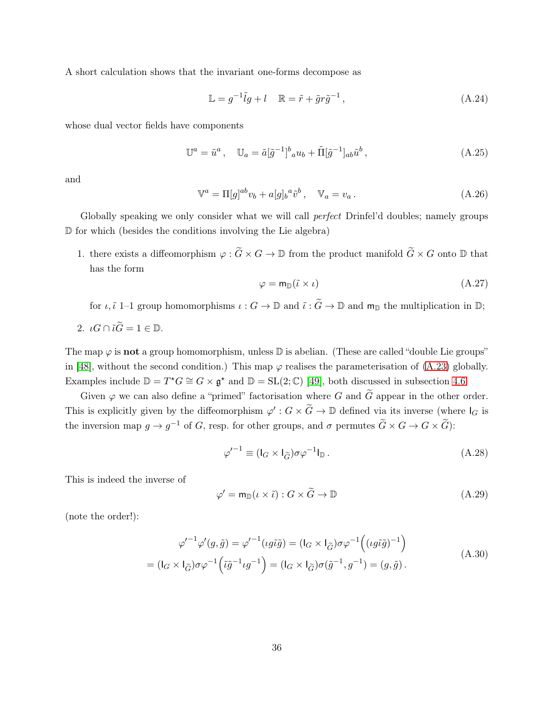A short calculation shows that the invariant one-forms decompose as

$$
\mathbb{L} = g^{-1}\tilde{l}g + l \quad \mathbb{R} = \tilde{r} + \tilde{g}r\tilde{g}^{-1},\tag{A.24}
$$

whose dual vector fields have components

$$
\mathbb{U}^a = \tilde{u}^a, \quad \mathbb{U}_a = \tilde{a}[\tilde{g}^{-1}]^b{}_a u_b + \tilde{\Pi}[\tilde{g}^{-1}]_{ab} \tilde{u}^b, \tag{A.25}
$$

and

$$
\mathbb{V}^a = \Pi[g]^{ab} v_b + a[g]_b^a \tilde{v}^b, \quad \mathbb{V}_a = v_a. \tag{A.26}
$$

Globally speaking we only consider what we will call perfect Drinfel'd doubles; namely groups D for which (besides the conditions involving the Lie algebra)

1. there exists a diffeomorphism  $\varphi : \widetilde{G} \times G \to \mathbb{D}$  from the product manifold  $\widetilde{G} \times G$  onto  $\mathbb{D}$  that has the form

<span id="page-36-1"></span>
$$
\varphi = \mathsf{m}_{\mathbb{D}}(\tilde{\iota} \times \iota) \tag{A.27}
$$

for  $\iota, \tilde{\iota}$  1–1 group homomorphisms  $\iota : G \to \mathbb{D}$  and  $\tilde{\iota} : \tilde{G} \to \mathbb{D}$  and  $\mathsf{m}_{\mathbb{D}}$  the multiplication in  $\mathbb{D}$ ;

$$
2. \ \iota G \cap \tilde{\iota} \tilde{G} = 1 \in \mathbb{D}.
$$

The map  $\varphi$  is **not** a group homomorphism, unless  $\mathbb D$  is abelian. (These are called "double Lie groups" in [\[48\]](#page-40-5), without the second condition.) This map  $\varphi$  realises the parameterisation of [\(A.23\)](#page-35-4) globally. Examples include  $\mathbb{D} = T^*G \cong G \times \mathfrak{g}^*$  and  $\mathbb{D} = \text{SL}(2;\mathbb{C})$  [\[49\]](#page-40-6), both discussed in subsection [4.6.](#page-23-0)

Given  $\varphi$  we can also define a "primed" factorisation where G and  $\tilde{G}$  appear in the other order. This is explicitly given by the diffeomorphism  $\varphi': G \times \tilde{G} \to \mathbb{D}$  defined via its inverse (where  $I_G$  is the inversion map  $g \to g^{-1}$  of G, resp. for other groups, and  $\sigma$  permutes  $\widetilde{G} \times G \to G \times \widetilde{G}$ :

$$
\varphi'^{-1} \equiv (I_G \times I_{\widetilde{G}}) \sigma \varphi^{-1} I_{\mathbb{D}}.
$$
\n(A.28)

This is indeed the inverse of

<span id="page-36-0"></span>
$$
\varphi' = \mathsf{m}_{\mathbb{D}}(\iota \times \tilde{\iota}) : G \times \tilde{G} \to \mathbb{D} \tag{A.29}
$$

(note the order!):

$$
\varphi'^{-1}\varphi'(g,\tilde{g}) = \varphi'^{-1}(\iota g\tilde{\iota}\tilde{g}) = (\mathsf{I}_G \times \mathsf{I}_{\tilde{G}})\sigma\varphi^{-1}((\iota g\tilde{\iota}\tilde{g})^{-1})
$$
  
= 
$$
(\mathsf{I}_G \times \mathsf{I}_{\tilde{G}})\sigma\varphi^{-1}(\tilde{\iota}\tilde{g}^{-1}\iota g^{-1}) = (\mathsf{I}_G \times \mathsf{I}_{\tilde{G}})\sigma(\tilde{g}^{-1}, g^{-1}) = (g,\tilde{g}).
$$
 (A.30)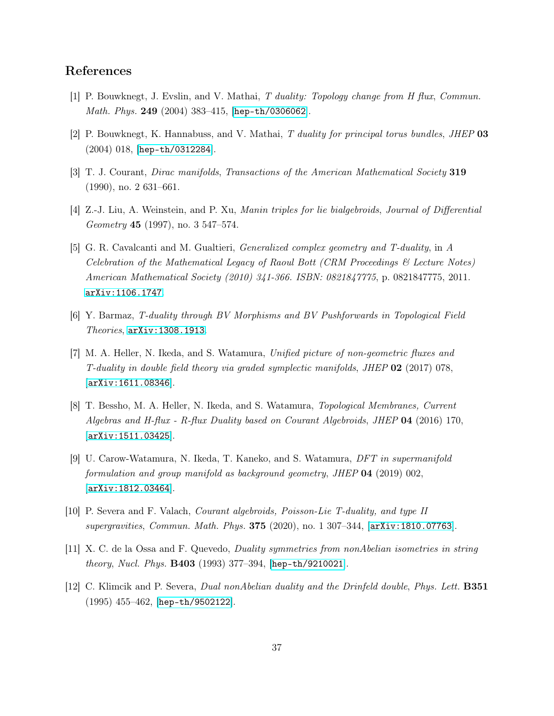## <span id="page-37-0"></span>References

- <span id="page-37-1"></span>[1] P. Bouwknegt, J. Evslin, and V. Mathai, T duality: Topology change from H flux, Commun. *Math. Phys.* 249 (2004) 383-415, [[hep-th/0306062](http://arxiv.org/abs/hep-th/0306062)].
- <span id="page-37-2"></span>[2] P. Bouwknegt, K. Hannabuss, and V. Mathai, T duality for principal torus bundles, JHEP 03 (2004) 018, [[hep-th/0312284](http://arxiv.org/abs/hep-th/0312284)].
- <span id="page-37-3"></span>[3] T. J. Courant, Dirac manifolds, Transactions of the American Mathematical Society 319 (1990), no. 2 631–661.
- <span id="page-37-4"></span>[4] Z.-J. Liu, A. Weinstein, and P. Xu, Manin triples for lie bialgebroids, Journal of Differential Geometry 45 (1997), no. 3 547–574.
- [5] G. R. Cavalcanti and M. Gualtieri, Generalized complex geometry and T-duality, in A Celebration of the Mathematical Legacy of Raoul Bott (CRM Proceedings & Lecture Notes) American Mathematical Society (2010) 341-366. ISBN: 0821847775, p. 0821847775, 2011. [arXiv:1106.1747](http://arxiv.org/abs/1106.1747).
- <span id="page-37-5"></span>[6] Y. Barmaz, T-duality through BV Morphisms and BV Pushforwards in Topological Field  $Theories,$   $arXiv:1308.1913.$  $arXiv:1308.1913.$
- [7] M. A. Heller, N. Ikeda, and S. Watamura, Unified picture of non-geometric fluxes and T-duality in double field theory via graded symplectic manifolds, JHEP  $02$  (2017) 078, [[arXiv:1611.08346](http://arxiv.org/abs/1611.08346)].
- [8] T. Bessho, M. A. Heller, N. Ikeda, and S. Watamura, Topological Membranes, Current Algebras and H-flux - R-flux Duality based on Courant Algebroids, JHEP 04 (2016) 170, [[arXiv:1511.03425](http://arxiv.org/abs/1511.03425)].
- [9] U. Carow-Watamura, N. Ikeda, T. Kaneko, and S. Watamura, DFT in supermanifold formulation and group manifold as background geometry, JHEP 04 (2019) 002, [[arXiv:1812.03464](http://arxiv.org/abs/1812.03464)].
- <span id="page-37-7"></span><span id="page-37-6"></span>[10] P. Severa and F. Valach, Courant algebroids, Poisson-Lie T-duality, and type II supergravities, Commun. Math. Phys. 375 (2020), no. 1 307–344, [[arXiv:1810.07763](http://arxiv.org/abs/1810.07763)].
- <span id="page-37-8"></span>[11] X. C. de la Ossa and F. Quevedo, Duality symmetries from nonAbelian isometries in string theory, Nucl. Phys. B403 (1993) 377-394, [[hep-th/9210021](http://arxiv.org/abs/hep-th/9210021)].
- [12] C. Klimcik and P. Severa, Dual nonAbelian duality and the Drinfeld double, Phys. Lett. B351 (1995) 455–462, [[hep-th/9502122](http://arxiv.org/abs/hep-th/9502122)].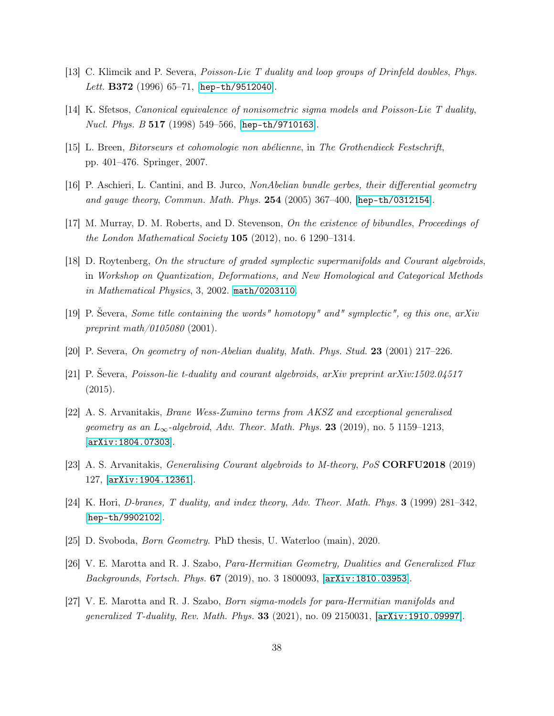- <span id="page-38-1"></span><span id="page-38-0"></span>[13] C. Klimcik and P. Severa, Poisson-Lie T duality and loop groups of Drinfeld doubles, Phys. Lett. B372 (1996) 65-71, [[hep-th/9512040](http://arxiv.org/abs/hep-th/9512040)].
- <span id="page-38-2"></span>[14] K. Sfetsos, Canonical equivalence of nonisometric sigma models and Poisson-Lie T duality, Nucl. Phys. B 517 (1998) 549–566, [[hep-th/9710163](http://arxiv.org/abs/hep-th/9710163)].
- <span id="page-38-14"></span>[15] L. Breen, Bitorseurs et cohomologie non abélienne, in The Grothendieck Festschrift, pp. 401–476. Springer, 2007.
- <span id="page-38-3"></span>[16] P. Aschieri, L. Cantini, and B. Jurco, NonAbelian bundle gerbes, their differential geometry and gauge theory, Commun. Math. Phys. 254 (2005) 367–400,  $[hep-th/0312154]$  $[hep-th/0312154]$  $[hep-th/0312154]$ .
- <span id="page-38-4"></span>[17] M. Murray, D. M. Roberts, and D. Stevenson, On the existence of bibundles, Proceedings of the London Mathematical Society  $105$  (2012), no. 6 1290–1314.
- [18] D. Roytenberg, On the structure of graded symplectic supermanifolds and Courant algebroids, in Workshop on Quantization, Deformations, and New Homological and Categorical Methods in Mathematical Physics, 3, 2002. [math/0203110](http://arxiv.org/abs/math/0203110).
- <span id="page-38-6"></span><span id="page-38-5"></span>[19] P. Ševera, Some title containing the words" homotopy" and" symplectic", eg this one, arXiv preprint math/0105080 (2001).
- <span id="page-38-7"></span>[20] P. Severa, On geometry of non-Abelian duality, Math. Phys. Stud. 23 (2001) 217–226.
- <span id="page-38-8"></span>[21] P. Ševera, Poisson-lie t-duality and courant algebroids, arXiv preprint arXiv:1502.04517 (2015).
- [22] A. S. Arvanitakis, Brane Wess-Zumino terms from AKSZ and exceptional generalised geometry as an  $L_{\infty}$ -algebroid, Adv. Theor. Math. Phys. 23 (2019), no. 5 1159–1213, [[arXiv:1804.07303](http://arxiv.org/abs/1804.07303)].
- <span id="page-38-10"></span><span id="page-38-9"></span>[23] A. S. Arvanitakis, Generalising Courant algebroids to M-theory, PoS CORFU2018 (2019) 127, [[arXiv:1904.12361](http://arxiv.org/abs/1904.12361)].
- <span id="page-38-11"></span>[24] K. Hori, D-branes, T duality, and index theory, Adv. Theor. Math. Phys. 3 (1999) 281–342, [[hep-th/9902102](http://arxiv.org/abs/hep-th/9902102)].
- <span id="page-38-12"></span>[25] D. Svoboda, Born Geometry. PhD thesis, U. Waterloo (main), 2020.
- <span id="page-38-13"></span>[26] V. E. Marotta and R. J. Szabo, Para-Hermitian Geometry, Dualities and Generalized Flux Backgrounds, Fortsch. Phys. 67 (2019), no. 3 1800093, [[arXiv:1810.03953](http://arxiv.org/abs/1810.03953)].
- [27] V. E. Marotta and R. J. Szabo, Born sigma-models for para-Hermitian manifolds and generalized T-duality, Rev. Math. Phys. 33 (2021), no. 09 2150031, [[arXiv:1910.09997](http://arxiv.org/abs/1910.09997)].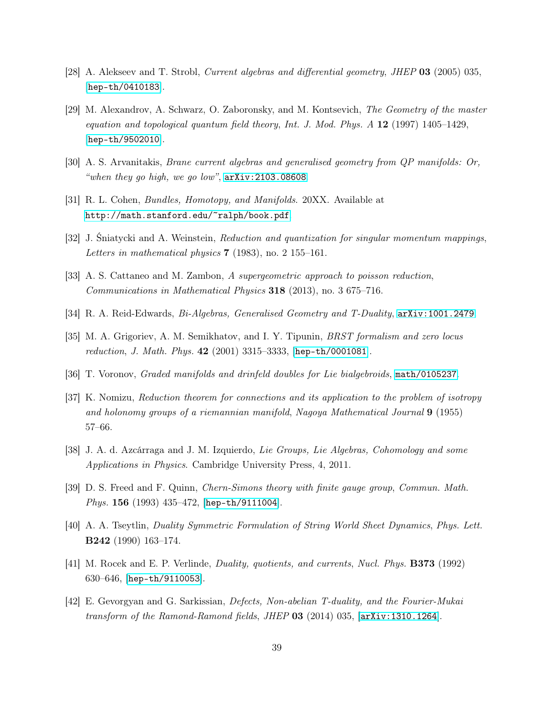- <span id="page-39-1"></span><span id="page-39-0"></span>[28] A. Alekseev and T. Strobl, Current algebras and differential geometry, JHEP 03 (2005) 035, [[hep-th/0410183](http://arxiv.org/abs/hep-th/0410183)].
- [29] M. Alexandrov, A. Schwarz, O. Zaboronsky, and M. Kontsevich, The Geometry of the master equation and topological quantum field theory, Int. J. Mod. Phys.  $A$  12 (1997) 1405–1429, [[hep-th/9502010](http://arxiv.org/abs/hep-th/9502010)].
- <span id="page-39-3"></span><span id="page-39-2"></span>[30] A. S. Arvanitakis, Brane current algebras and generalised geometry from QP manifolds: Or, "when they go high, we go low",  $arXiv:2103.08608$ .
- <span id="page-39-4"></span>[31] R. L. Cohen, Bundles, Homotopy, and Manifolds. 20XX. Available at <http://math.stanford.edu/~ralph/book.pdf>.
- <span id="page-39-5"></span>[32] J. Sniatycki and A. Weinstein, *Reduction and quantization for singular momentum mappings*, Letters in mathematical physics  $7$  (1983), no. 2 155–161.
- <span id="page-39-6"></span>[33] A. S. Cattaneo and M. Zambon, A supergeometric approach to poisson reduction, Communications in Mathematical Physics  $318$  (2013), no. 3 675–716.
- <span id="page-39-7"></span>[34] R. A. Reid-Edwards, Bi-Algebras, Generalised Geometry and T-Duality, [arXiv:1001.2479](http://arxiv.org/abs/1001.2479).
- <span id="page-39-8"></span>[35] M. A. Grigoriev, A. M. Semikhatov, and I. Y. Tipunin, BRST formalism and zero locus reduction, J. Math. Phys. 42 (2001) 3315–3333, [[hep-th/0001081](http://arxiv.org/abs/hep-th/0001081)].
- <span id="page-39-9"></span>[36] T. Voronov, Graded manifolds and drinfeld doubles for Lie bialgebroids, [math/0105237](http://arxiv.org/abs/math/0105237).
- [37] K. Nomizu, Reduction theorem for connections and its application to the problem of isotropy and holonomy groups of a riemannian manifold, Nagoya Mathematical Journal  $9$  (1955) 57–66.
- <span id="page-39-11"></span><span id="page-39-10"></span>[38] J. A. d. Azcárraga and J. M. Izquierdo, Lie Groups, Lie Algebras, Cohomology and some Applications in Physics. Cambridge University Press, 4, 2011.
- <span id="page-39-12"></span>[39] D. S. Freed and F. Quinn, Chern-Simons theory with finite gauge group, Commun. Math. Phys. 156 (1993) 435-472, [[hep-th/9111004](http://arxiv.org/abs/hep-th/9111004)].
- <span id="page-39-13"></span>[40] A. A. Tseytlin, Duality Symmetric Formulation of String World Sheet Dynamics, Phys. Lett. B242 (1990) 163–174.
- <span id="page-39-14"></span>[41] M. Rocek and E. P. Verlinde, Duality, quotients, and currents, Nucl. Phys. B373 (1992) 630–646, [[hep-th/9110053](http://arxiv.org/abs/hep-th/9110053)].
- [42] E. Gevorgyan and G. Sarkissian, Defects, Non-abelian T-duality, and the Fourier-Mukai transform of the Ramond-Ramond fields, JHEP  $03$  (2014) 035,  $[\text{arXiv}:1310.1264]$ .